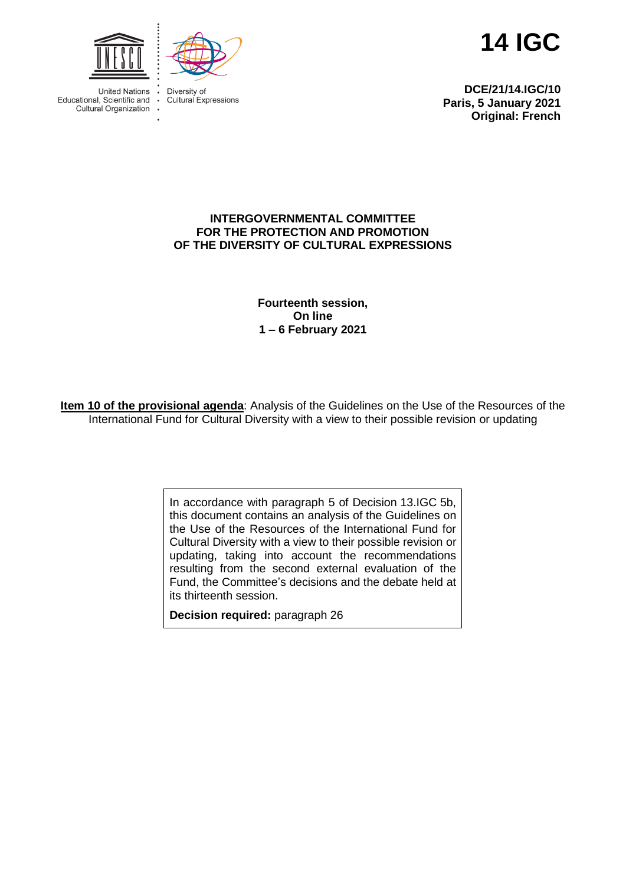



**United Nations** Educational, Scientific and Cultural Organization

Diversity of  $\ddot{\phantom{1}}$ Cultural Expressions  $\sim$ 



**DCE/21/14.IGC/10 Paris, 5 January 2021 Original: French**

### **INTERGOVERNMENTAL COMMITTEE FOR THE PROTECTION AND PROMOTION OF THE DIVERSITY OF CULTURAL EXPRESSIONS**

**Fourteenth session, On line 1 – 6 February 2021**

**Item 10 of the provisional agenda**: Analysis of the Guidelines on the Use of the Resources of the International Fund for Cultural Diversity with a view to their possible revision or updating

> In accordance with paragraph 5 of Decision 13.IGC 5b, this document contains an analysis of the Guidelines on the Use of the Resources of the International Fund for Cultural Diversity with a view to their possible revision or updating, taking into account the recommendations resulting from the second external evaluation of the Fund, the Committee's decisions and the debate held at its thirteenth session.

**Decision required:** paragraph 26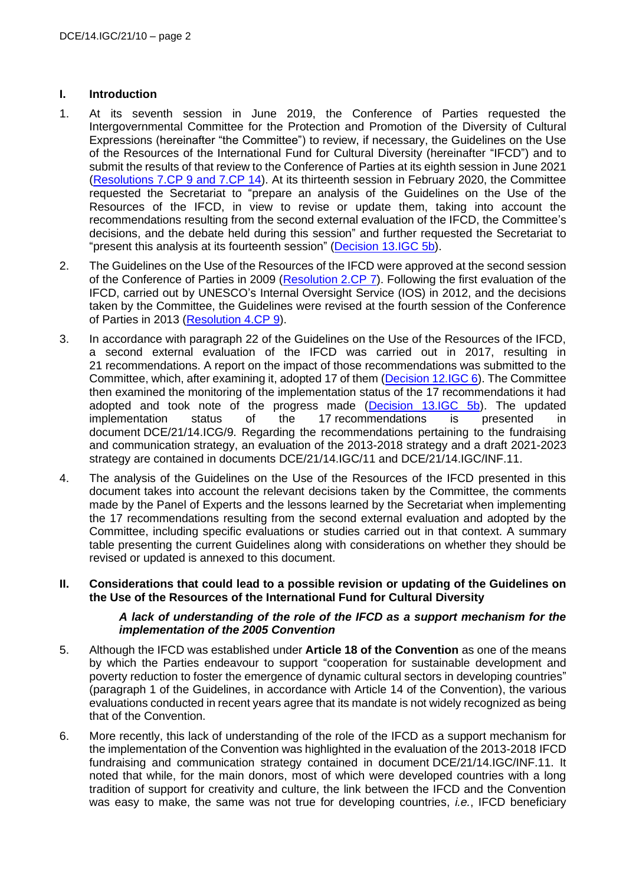## **I. Introduction**

- 1. At its seventh session in June 2019, the Conference of Parties requested the Intergovernmental Committee for the Protection and Promotion of the Diversity of Cultural Expressions (hereinafter "the Committee") to review, if necessary, the Guidelines on the Use of the Resources of the International Fund for Cultural Diversity (hereinafter "IFCD") and to submit the results of that review to the Conference of Parties at its eighth session in June 2021 [\(Resolutions 7.CP 9 and 7.CP 14\)](https://en.unesco.org/creativity/sites/creativity/files/sessions/7cp_resolutions_en.pdf). At its thirteenth session in February 2020, the Committee requested the Secretariat to "prepare an analysis of the Guidelines on the Use of the Resources of the IFCD, in view to revise or update them, taking into account the recommendations resulting from the second external evaluation of the IFCD, the Committee's decisions, and the debate held during this session" and further requested the Secretariat to "present this analysis at its fourteenth session" (Decision [13.IGC 5b\)](https://en.unesco.org/creativity/sites/creativity/files/sessions/13igc_decisions_en.pdf).
- 2. The Guidelines on the Use of the Resources of the IFCD were approved at the second session of the Conference of Parties in 2009 [\(Resolution 2.CP 7\)](https://en.unesco.org/creativity/sites/creativity/files/sessions/221654e.pdf). Following the first evaluation of the IFCD, carried out by UNESCO's Internal Oversight Service (IOS) in 2012, and the decisions taken by the Committee, the Guidelines were revised at the fourth session of the Conference of Parties in 2013 [\(Resolution](https://en.unesco.org/creativity/sites/creativity/files/sessions/221795e.pdf) 4.CP 9).
- 3. In accordance with paragraph 22 of the Guidelines on the Use of the Resources of the IFCD, a second external evaluation of the IFCD was carried out in 2017, resulting in 21 recommendations. A report on the impact of those recommendations was submitted to the Committee, which, after examining it, adopted 17 of them [\(Decision 12.IGC 6\)](https://en.unesco.org/creativity/sites/creativity/files/12igc_decisions_en.pdf). The Committee then examined the monitoring of the implementation status of the 17 recommendations it had adopted and took note of the progress made [\(Decision 13.IGC 5b\)](https://en.unesco.org/creativity/sites/creativity/files/sessions/13igc_decisions_en.pdf). The updated implementation status of the 17 recommendations is presented in document DCE/21/14.ICG/9. Regarding the recommendations pertaining to the fundraising and communication strategy, an evaluation of the 2013-2018 strategy and a draft 2021-2023 strategy are contained in documents DCE/21/14.IGC/11 and DCE/21/14.IGC/INF.11.
- 4. The analysis of the Guidelines on the Use of the Resources of the IFCD presented in this document takes into account the relevant decisions taken by the Committee, the comments made by the Panel of Experts and the lessons learned by the Secretariat when implementing the 17 recommendations resulting from the second external evaluation and adopted by the Committee, including specific evaluations or studies carried out in that context. A summary table presenting the current Guidelines along with considerations on whether they should be revised or updated is annexed to this document.
- **II. Considerations that could lead to a possible revision or updating of the Guidelines on the Use of the Resources of the International Fund for Cultural Diversity**

#### *A lack of understanding of the role of the IFCD as a support mechanism for the implementation of the 2005 Convention*

- 5. Although the IFCD was established under **Article 18 of the Convention** as one of the means by which the Parties endeavour to support "cooperation for sustainable development and poverty reduction to foster the emergence of dynamic cultural sectors in developing countries" (paragraph 1 of the Guidelines, in accordance with Article 14 of the Convention), the various evaluations conducted in recent years agree that its mandate is not widely recognized as being that of the Convention.
- 6. More recently, this lack of understanding of the role of the IFCD as a support mechanism for the implementation of the Convention was highlighted in the evaluation of the 2013-2018 IFCD fundraising and communication strategy contained in document DCE/21/14.IGC/INF.11. It noted that while, for the main donors, most of which were developed countries with a long tradition of support for creativity and culture, the link between the IFCD and the Convention was easy to make, the same was not true for developing countries, *i.e.*, IFCD beneficiary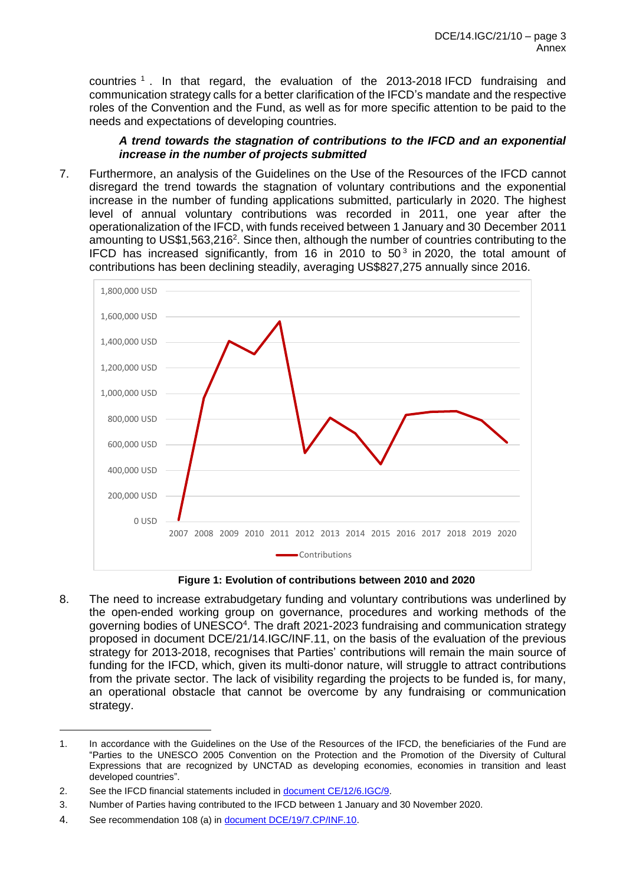countries  $1$ . In that regard, the evaluation of the 2013-2018 IFCD fundraising and communication strategy calls for a better clarification of the IFCD's mandate and the respective roles of the Convention and the Fund, as well as for more specific attention to be paid to the needs and expectations of developing countries.

#### *A trend towards the stagnation of contributions to the IFCD and an exponential increase in the number of projects submitted*

7. Furthermore, an analysis of the Guidelines on the Use of the Resources of the IFCD cannot disregard the trend towards the stagnation of voluntary contributions and the exponential increase in the number of funding applications submitted, particularly in 2020. The highest level of annual voluntary contributions was recorded in 2011, one year after the operationalization of the IFCD, with funds received between 1 January and 30 December 2011 amounting to US\$1,563,216<sup>2</sup>. Since then, although the number of countries contributing to the IFCD has increased significantly, from 16 in 2010 to  $50<sup>3</sup>$  in 2020, the total amount of contributions has been declining steadily, averaging US\$827,275 annually since 2016.



**Figure 1: Evolution of contributions between 2010 and 2020**

8. The need to increase extrabudgetary funding and voluntary contributions was underlined by the open-ended working group on governance, procedures and working methods of the governing bodies of UNESCO<sup>4</sup>. The draft 2021-2023 fundraising and communication strategy proposed in document DCE/21/14.IGC/INF.11, on the basis of the evaluation of the previous strategy for 2013-2018, recognises that Parties' contributions will remain the main source of funding for the IFCD, which, given its multi-donor nature, will struggle to attract contributions from the private sector. The lack of visibility regarding the projects to be funded is, for many, an operational obstacle that cannot be overcome by any fundraising or communication strategy.

<sup>1.</sup> In accordance with the Guidelines on the Use of the Resources of the IFCD, the beneficiaries of the Fund are "Parties to the UNESCO 2005 Convention on the Protection and the Promotion of the Diversity of Cultural Expressions that are recognized by UNCTAD as developing economies, economies in transition and least developed countries".

<sup>2.</sup> See the IFCD financial statements included in [document CE/12/6.IGC/9.](https://en.unesco.org/creativity/sites/creativity/files/sessions/221067e.pdf)

<sup>3.</sup> Number of Parties having contributed to the IFCD between 1 January and 30 November 2020.

<sup>4.</sup> See recommendation 108 (a) in [document DCE/19/7.CP/INF.10.](https://en.unesco.org/creativity/sites/creativity/files/7cp_inf_10_en.pdf)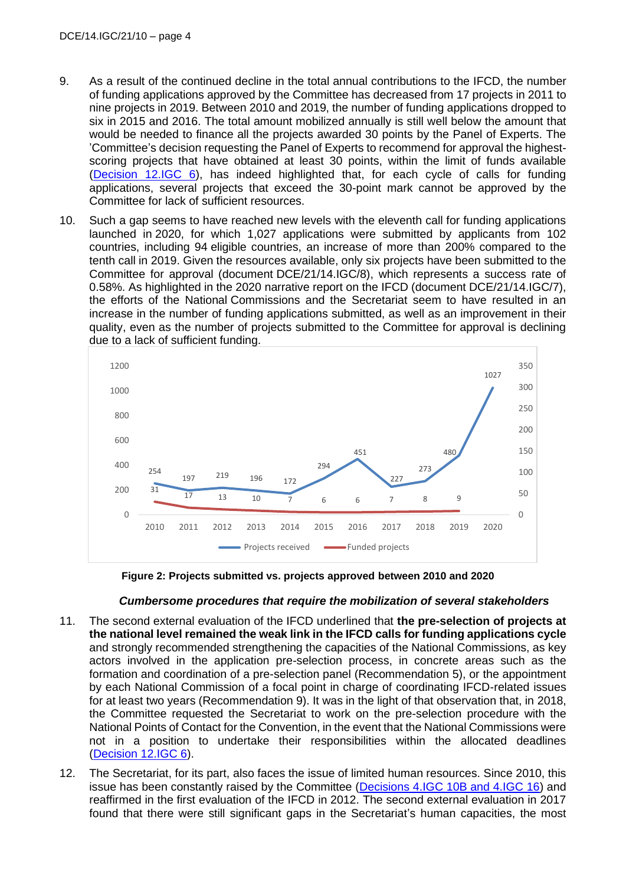- 9. As a result of the continued decline in the total annual contributions to the IFCD, the number of funding applications approved by the Committee has decreased from 17 projects in 2011 to nine projects in 2019. Between 2010 and 2019, the number of funding applications dropped to six in 2015 and 2016. The total amount mobilized annually is still well below the amount that would be needed to finance all the projects awarded 30 points by the Panel of Experts. The 'Committee's decision requesting the Panel of Experts to recommend for approval the highestscoring projects that have obtained at least 30 points, within the limit of funds available [\(Decision 12.IGC 6\)](https://en.unesco.org/creativity/sites/creativity/files/12igc_decisions_en.pdf), has indeed highlighted that, for each cycle of calls for funding applications, several projects that exceed the 30-point mark cannot be approved by the Committee for lack of sufficient resources.
- 10. Such a gap seems to have reached new levels with the eleventh call for funding applications launched in 2020, for which 1,027 applications were submitted by applicants from 102 countries, including 94 eligible countries, an increase of more than 200% compared to the tenth call in 2019. Given the resources available, only six projects have been submitted to the Committee for approval (document DCE/21/14.IGC/8), which represents a success rate of 0.58%. As highlighted in the 2020 narrative report on the IFCD (document DCE/21/14.IGC/7), the efforts of the National Commissions and the Secretariat seem to have resulted in an increase in the number of funding applications submitted, as well as an improvement in their quality, even as the number of projects submitted to the Committee for approval is declining due to a lack of sufficient funding.



**Figure 2: Projects submitted vs. projects approved between 2010 and 2020**

## *Cumbersome procedures that require the mobilization of several stakeholders*

- 11. The second external evaluation of the IFCD underlined that **the pre-selection of projects at the national level remained the weak link in the IFCD calls for funding applications cycle** and strongly recommended strengthening the capacities of the National Commissions, as key actors involved in the application pre-selection process, in concrete areas such as the formation and coordination of a pre-selection panel (Recommendation 5), or the appointment by each National Commission of a focal point in charge of coordinating IFCD-related issues for at least two years (Recommendation 9). It was in the light of that observation that, in 2018, the Committee requested the Secretariat to work on the pre-selection procedure with the National Points of Contact for the Convention, in the event that the National Commissions were not in a position to undertake their responsibilities within the allocated deadlines (Decision [12.IGC 6\)](https://en.unesco.org/creativity/sites/creativity/files/12igc_decisions_en.pdf).
- 12. The Secretariat, for its part, also faces the issue of limited human resources. Since 2010, this issue has been constantly raised by the Committee [\(Decisions 4.IGC 10B and 4.IGC 16\)](https://en.unesco.org/creativity/sites/creativity/files/sessions/224828e.pdf) and reaffirmed in the first evaluation of the IFCD in 2012. The second external evaluation in 2017 found that there were still significant gaps in the Secretariat's human capacities, the most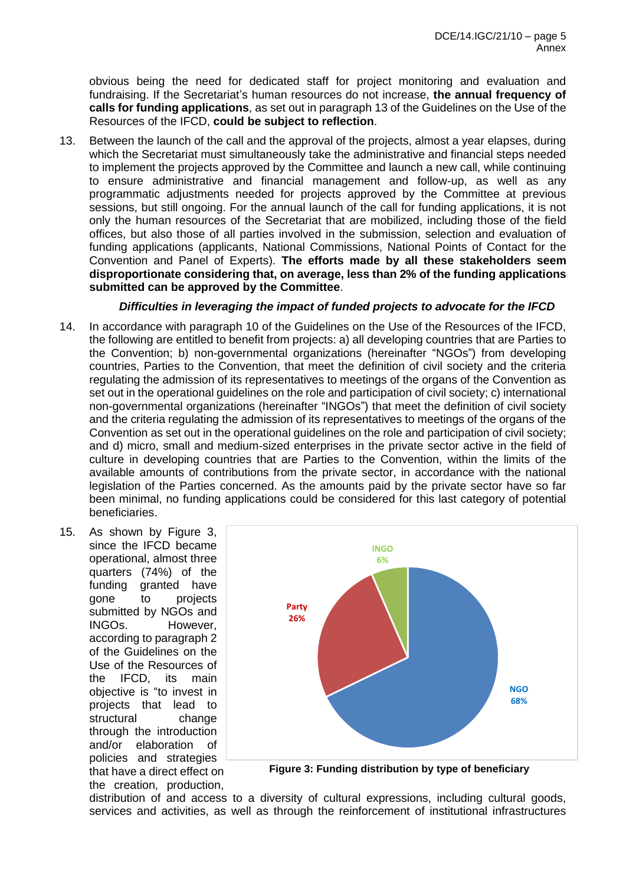obvious being the need for dedicated staff for project monitoring and evaluation and fundraising. If the Secretariat's human resources do not increase, **the annual frequency of calls for funding applications**, as set out in paragraph 13 of the Guidelines on the Use of the Resources of the IFCD, **could be subject to reflection**.

13. Between the launch of the call and the approval of the projects, almost a year elapses, during which the Secretariat must simultaneously take the administrative and financial steps needed to implement the projects approved by the Committee and launch a new call, while continuing to ensure administrative and financial management and follow-up, as well as any programmatic adjustments needed for projects approved by the Committee at previous sessions, but still ongoing. For the annual launch of the call for funding applications, it is not only the human resources of the Secretariat that are mobilized, including those of the field offices, but also those of all parties involved in the submission, selection and evaluation of funding applications (applicants, National Commissions, National Points of Contact for the Convention and Panel of Experts). **The efforts made by all these stakeholders seem disproportionate considering that, on average, less than 2% of the funding applications submitted can be approved by the Committee**.

# *Difficulties in leveraging the impact of funded projects to advocate for the IFCD*

- 14. In accordance with paragraph 10 of the Guidelines on the Use of the Resources of the IFCD, the following are entitled to benefit from projects: a) all developing countries that are Parties to the Convention; b) non-governmental organizations (hereinafter "NGOs") from developing countries, Parties to the Convention, that meet the definition of civil society and the criteria regulating the admission of its representatives to meetings of the organs of the Convention as set out in the operational guidelines on the role and participation of civil society; c) international non-governmental organizations (hereinafter "INGOs") that meet the definition of civil society and the criteria regulating the admission of its representatives to meetings of the organs of the Convention as set out in the operational guidelines on the role and participation of civil society; and d) micro, small and medium-sized enterprises in the private sector active in the field of culture in developing countries that are Parties to the Convention, within the limits of the available amounts of contributions from the private sector, in accordance with the national legislation of the Parties concerned. As the amounts paid by the private sector have so far been minimal, no funding applications could be considered for this last category of potential beneficiaries.
- 15. As shown by Figure 3, since the IFCD became operational, almost three quarters (74%) of the funding granted have gone to projects submitted by NGOs and INGOs. However, according to paragraph 2 of the Guidelines on the Use of the Resources of the IFCD, its main objective is "to invest in projects that lead to structural change through the introduction and/or elaboration of policies and strategies that have a direct effect on the creation, production,



**Figure 3: Funding distribution by type of beneficiary**

distribution of and access to a diversity of cultural expressions, including cultural goods, services and activities, as well as through the reinforcement of institutional infrastructures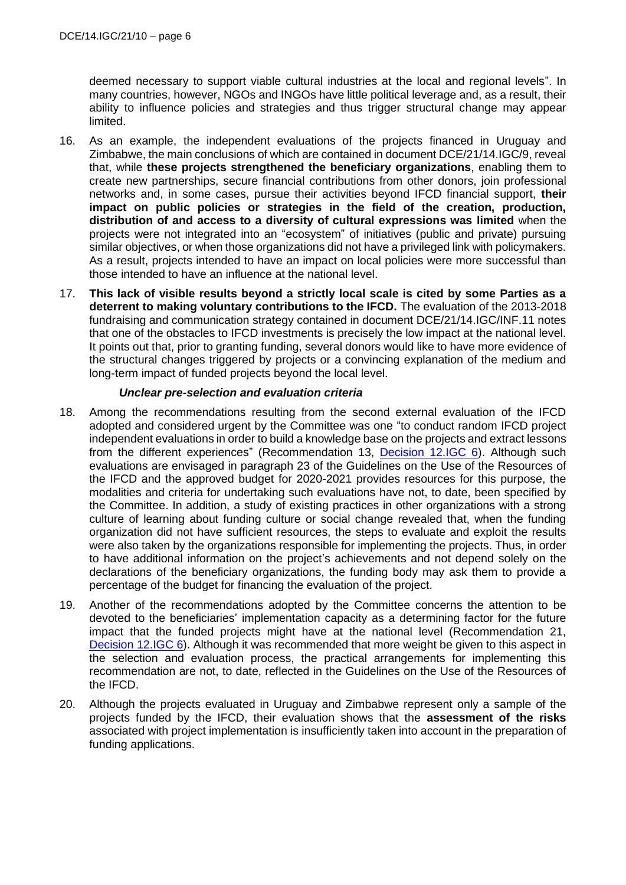deemed necessary to support viable cultural industries at the local and regional levels". In many countries, however, NGOs and INGOs have little political leverage and, as a result, their ability to influence policies and strategies and thus trigger structural change may appear limited.

- 16. As an example, the independent evaluations of the projects financed in Uruguay and Zimbabwe, the main conclusions of which are contained in document DCE/21/14.IGC/9, reveal that, while **these projects strengthened the beneficiary organizations**, enabling them to create new partnerships, secure financial contributions from other donors, join professional networks and, in some cases, pursue their activities beyond IFCD financial support, **their impact on public policies or strategies in the field of the creation, production, distribution of and access to a diversity of cultural expressions was limited** when the projects were not integrated into an "ecosystem" of initiatives (public and private) pursuing similar objectives, or when those organizations did not have a privileged link with policymakers. As a result, projects intended to have an impact on local policies were more successful than those intended to have an influence at the national level.
- 17. **This lack of visible results beyond a strictly local scale is cited by some Parties as a deterrent to making voluntary contributions to the IFCD.** The evaluation of the 2013-2018 fundraising and communication strategy contained in document DCE/21/14.IGC/INF.11 notes that one of the obstacles to IFCD investments is precisely the low impact at the national level. It points out that, prior to granting funding, several donors would like to have more evidence of the structural changes triggered by projects or a convincing explanation of the medium and long-term impact of funded projects beyond the local level.

# *Unclear pre-selection and evaluation criteria*

- 18. Among the recommendations resulting from the second external evaluation of the IFCD adopted and considered urgent by the Committee was one "to conduct random IFCD project independent evaluations in order to build a knowledge base on the projects and extract lessons from the different experiences" (Recommendation 13, [Decision 12.IGC 6\)](https://en.unesco.org/creativity/sites/creativity/files/12igc_decisions_en.pdf). Although such evaluations are envisaged in paragraph 23 of the Guidelines on the Use of the Resources of the IFCD and the approved budget for 2020-2021 provides resources for this purpose, the modalities and criteria for undertaking such evaluations have not, to date, been specified by the Committee. In addition, a study of existing practices in other organizations with a strong culture of learning about funding culture or social change revealed that, when the funding organization did not have sufficient resources, the steps to evaluate and exploit the results were also taken by the organizations responsible for implementing the projects. Thus, in order to have additional information on the project's achievements and not depend solely on the declarations of the beneficiary organizations, the funding body may ask them to provide a percentage of the budget for financing the evaluation of the project.
- 19. Another of the recommendations adopted by the Committee concerns the attention to be devoted to the beneficiaries' implementation capacity as a determining factor for the future impact that the funded projects might have at the national level (Recommendation 21, Decision [12.IGC 6\)](https://en.unesco.org/creativity/sites/creativity/files/12igc_decisions_en.pdf). Although it was recommended that more weight be given to this aspect in the selection and evaluation process, the practical arrangements for implementing this recommendation are not, to date, reflected in the Guidelines on the Use of the Resources of the IFCD.
- 20. Although the projects evaluated in Uruguay and Zimbabwe represent only a sample of the projects funded by the IFCD, their evaluation shows that the **assessment of the risks** associated with project implementation is insufficiently taken into account in the preparation of funding applications.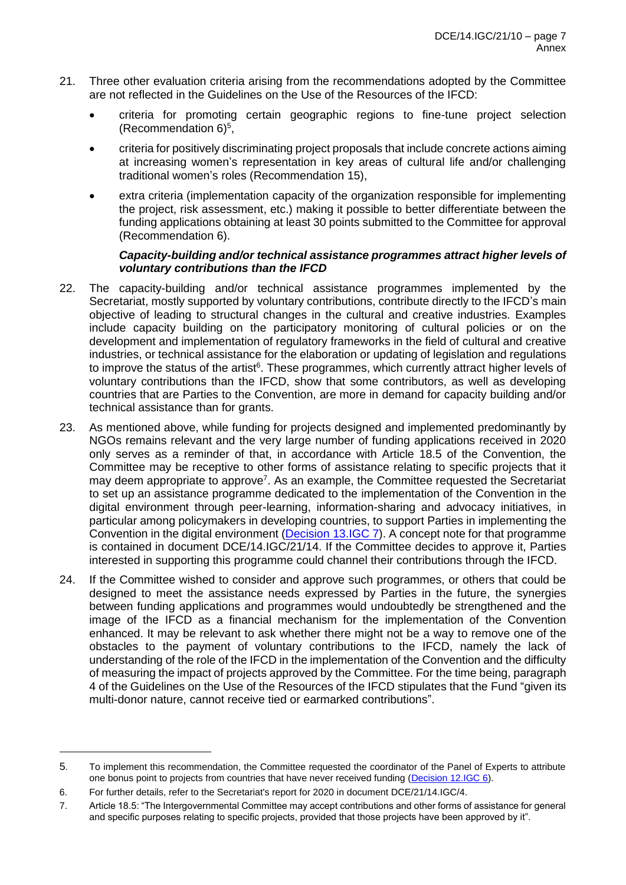- 21. Three other evaluation criteria arising from the recommendations adopted by the Committee are not reflected in the Guidelines on the Use of the Resources of the IFCD:
	- criteria for promoting certain geographic regions to fine-tune project selection (Recommendation 6)<sup>5</sup> ,
	- criteria for positively discriminating project proposals that include concrete actions aiming at increasing women's representation in key areas of cultural life and/or challenging traditional women's roles (Recommendation 15),
	- extra criteria (implementation capacity of the organization responsible for implementing the project, risk assessment, etc.) making it possible to better differentiate between the funding applications obtaining at least 30 points submitted to the Committee for approval (Recommendation 6).

#### *Capacity-building and/or technical assistance programmes attract higher levels of voluntary contributions than the IFCD*

- 22. The capacity-building and/or technical assistance programmes implemented by the Secretariat, mostly supported by voluntary contributions, contribute directly to the IFCD's main objective of leading to structural changes in the cultural and creative industries. Examples include capacity building on the participatory monitoring of cultural policies or on the development and implementation of regulatory frameworks in the field of cultural and creative industries, or technical assistance for the elaboration or updating of legislation and regulations to improve the status of the artist<sup>6</sup>. These programmes, which currently attract higher levels of voluntary contributions than the IFCD, show that some contributors, as well as developing countries that are Parties to the Convention, are more in demand for capacity building and/or technical assistance than for grants.
- 23. As mentioned above, while funding for projects designed and implemented predominantly by NGOs remains relevant and the very large number of funding applications received in 2020 only serves as a reminder of that, in accordance with Article 18.5 of the Convention, the Committee may be receptive to other forms of assistance relating to specific projects that it may deem appropriate to approve<sup>7</sup>. As an example, the Committee requested the Secretariat to set up an assistance programme dedicated to the implementation of the Convention in the digital environment through peer-learning, information-sharing and advocacy initiatives, in particular among policymakers in developing countries, to support Parties in implementing the Convention in the digital environment (Decision [13.IGC 7\)](https://en.unesco.org/creativity/sites/creativity/files/sessions/13igc_decisions_en.pdf). A concept note for that programme is contained in document DCE/14.IGC/21/14. If the Committee decides to approve it, Parties interested in supporting this programme could channel their contributions through the IFCD.
- 24. If the Committee wished to consider and approve such programmes, or others that could be designed to meet the assistance needs expressed by Parties in the future, the synergies between funding applications and programmes would undoubtedly be strengthened and the image of the IFCD as a financial mechanism for the implementation of the Convention enhanced. It may be relevant to ask whether there might not be a way to remove one of the obstacles to the payment of voluntary contributions to the IFCD, namely the lack of understanding of the role of the IFCD in the implementation of the Convention and the difficulty of measuring the impact of projects approved by the Committee. For the time being, paragraph 4 of the Guidelines on the Use of the Resources of the IFCD stipulates that the Fund "given its multi-donor nature, cannot receive tied or earmarked contributions".

<sup>5</sup>. To implement this recommendation, the Committee requested the coordinator of the Panel of Experts to attribute one bonus point to projects from countries that have never received funding [\(Decision 12.IGC 6\)](https://en.unesco.org/creativity/sites/creativity/files/12igc_decisions_en.pdf).

<sup>6.</sup> For further details, refer to the Secretariat's report for 2020 in document DCE/21/14.IGC/4.

<sup>7.</sup> Article 18.5: "The Intergovernmental Committee may accept contributions and other forms of assistance for general and specific purposes relating to specific projects, provided that those projects have been approved by it".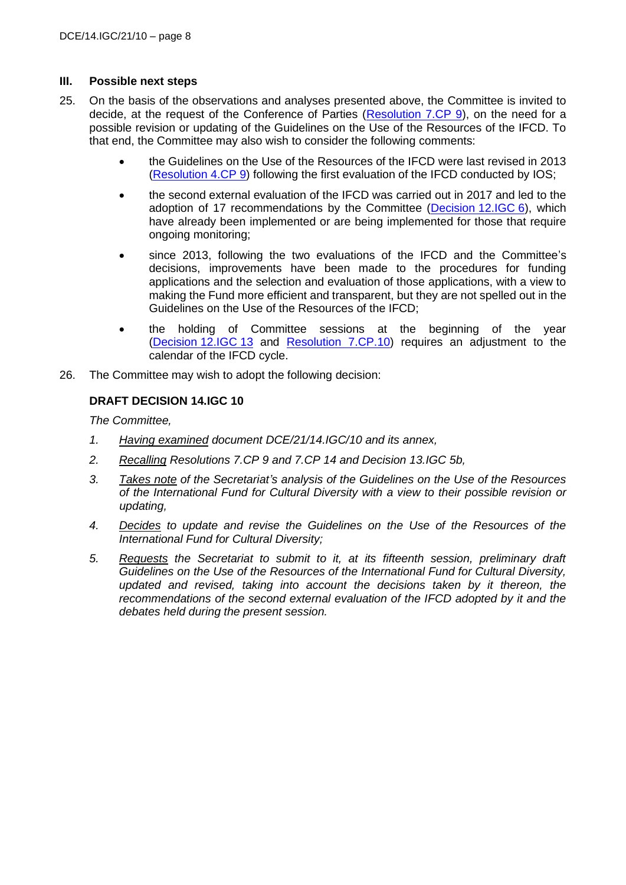### **III. Possible next steps**

- 25. On the basis of the observations and analyses presented above, the Committee is invited to decide, at the request of the Conference of Parties [\(Resolution 7.CP 9\)](https://en.unesco.org/creativity/sites/creativity/files/sessions/7cp_resolutions_en.pdf), on the need for a possible revision or updating of the Guidelines on the Use of the Resources of the IFCD. To that end, the Committee may also wish to consider the following comments:
	- the Guidelines on the Use of the Resources of the IFCD were last revised in 2013 [\(Resolution 4.CP](https://en.unesco.org/creativity/sites/creativity/files/sessions/221795e.pdf) 9) following the first evaluation of the IFCD conducted by IOS;
	- the second external evaluation of the IFCD was carried out in 2017 and led to the adoption of 17 recommendations by the Committee [\(Decision](https://en.unesco.org/creativity/sites/creativity/files/12igc_decisions_en.pdf) 12.IGC 6), which have already been implemented or are being implemented for those that require ongoing monitoring;
	- since 2013, following the two evaluations of the IFCD and the Committee's decisions, improvements have been made to the procedures for funding applications and the selection and evaluation of those applications, with a view to making the Fund more efficient and transparent, but they are not spelled out in the Guidelines on the Use of the Resources of the IFCD;
	- the holding of Committee sessions at the beginning of the year [\(Decision](https://en.unesco.org/creativity/sites/creativity/files/12igc_decisions_en.pdf) 12.IGC 13 and [Resolution 7.CP.10\)](https://en.unesco.org/creativity/sites/creativity/files/sessions/7cp_resolutions_en.pdf) requires an adjustment to the calendar of the IFCD cycle.
- 26. The Committee may wish to adopt the following decision:

# **DRAFT DECISION 14.IGC 10**

*The Committee,*

- *1. Having examined document DCE/21/14.IGC/10 and its annex,*
- *2. Recalling Resolutions 7.CP 9 and 7.CP 14 and Decision 13.IGC 5b,*
- *3. Takes note of the Secretariat's analysis of the Guidelines on the Use of the Resources of the International Fund for Cultural Diversity with a view to their possible revision or updating,*
- *4. Decides to update and revise the Guidelines on the Use of the Resources of the International Fund for Cultural Diversity;*
- *5. Requests the Secretariat to submit to it, at its fifteenth session, preliminary draft Guidelines on the Use of the Resources of the International Fund for Cultural Diversity, updated and revised, taking into account the decisions taken by it thereon, the recommendations of the second external evaluation of the IFCD adopted by it and the debates held during the present session.*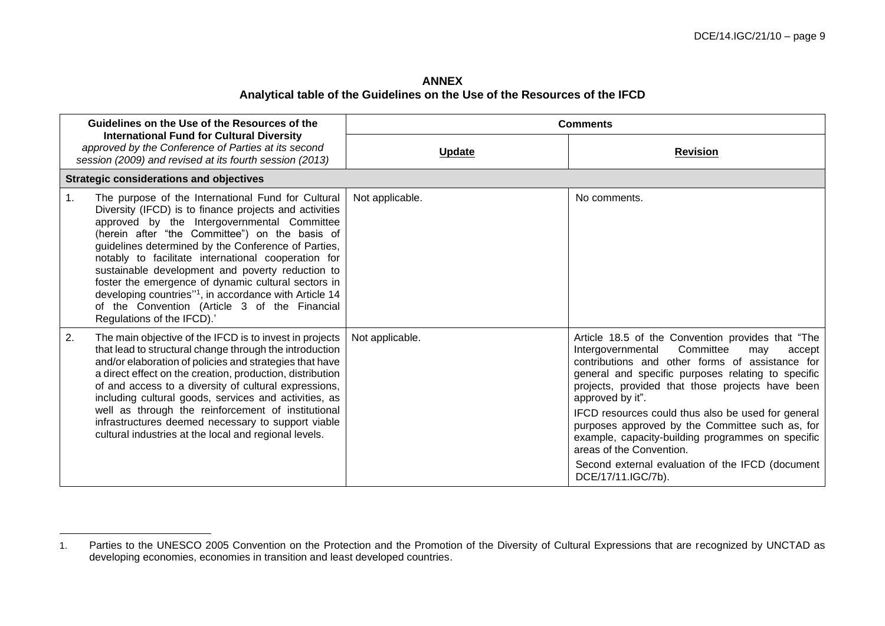**ANNEX Analytical table of the Guidelines on the Use of the Resources of the IFCD**

| Guidelines on the Use of the Resources of the                                                                                                                                                                                                                                                                                                                                                                                                                                                                                                                                                     | <b>Comments</b> |                                                                                                                                                                                                                                                                                                                                                                                                                                                                                                                                                           |
|---------------------------------------------------------------------------------------------------------------------------------------------------------------------------------------------------------------------------------------------------------------------------------------------------------------------------------------------------------------------------------------------------------------------------------------------------------------------------------------------------------------------------------------------------------------------------------------------------|-----------------|-----------------------------------------------------------------------------------------------------------------------------------------------------------------------------------------------------------------------------------------------------------------------------------------------------------------------------------------------------------------------------------------------------------------------------------------------------------------------------------------------------------------------------------------------------------|
| <b>International Fund for Cultural Diversity</b><br>approved by the Conference of Parties at its second<br>session (2009) and revised at its fourth session (2013)                                                                                                                                                                                                                                                                                                                                                                                                                                | Update          | <b>Revision</b>                                                                                                                                                                                                                                                                                                                                                                                                                                                                                                                                           |
| <b>Strategic considerations and objectives</b>                                                                                                                                                                                                                                                                                                                                                                                                                                                                                                                                                    |                 |                                                                                                                                                                                                                                                                                                                                                                                                                                                                                                                                                           |
| 1.<br>The purpose of the International Fund for Cultural<br>Diversity (IFCD) is to finance projects and activities<br>approved by the Intergovernmental Committee<br>(herein after "the Committee") on the basis of<br>guidelines determined by the Conference of Parties,<br>notably to facilitate international cooperation for<br>sustainable development and poverty reduction to<br>foster the emergence of dynamic cultural sectors in<br>developing countries" <sup>1</sup> , in accordance with Article 14<br>of the Convention (Article 3 of the Financial<br>Regulations of the IFCD).' | Not applicable. | No comments.                                                                                                                                                                                                                                                                                                                                                                                                                                                                                                                                              |
| 2.<br>The main objective of the IFCD is to invest in projects<br>that lead to structural change through the introduction<br>and/or elaboration of policies and strategies that have<br>a direct effect on the creation, production, distribution<br>of and access to a diversity of cultural expressions,<br>including cultural goods, services and activities, as<br>well as through the reinforcement of institutional<br>infrastructures deemed necessary to support viable<br>cultural industries at the local and regional levels.                                                           | Not applicable. | Article 18.5 of the Convention provides that "The<br>Committee<br>Intergovernmental<br>accept<br>may<br>contributions and other forms of assistance for<br>general and specific purposes relating to specific<br>projects, provided that those projects have been<br>approved by it".<br>IFCD resources could thus also be used for general<br>purposes approved by the Committee such as, for<br>example, capacity-building programmes on specific<br>areas of the Convention.<br>Second external evaluation of the IFCD (document<br>DCE/17/11.IGC/7b). |

<sup>1.</sup> Parties to the UNESCO 2005 Convention on the Protection and the Promotion of the Diversity of Cultural Expressions that are recognized by UNCTAD as developing economies, economies in transition and least developed countries.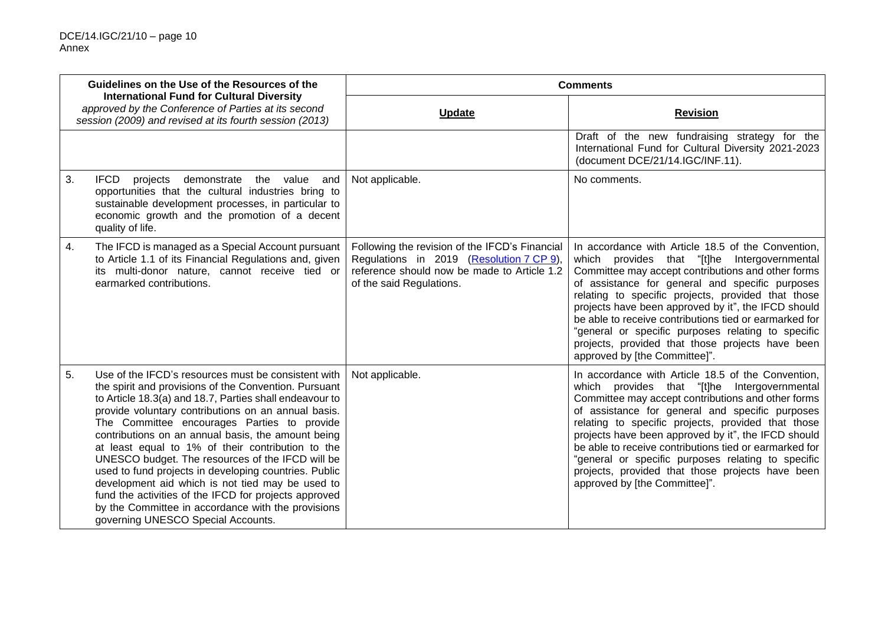| Guidelines on the Use of the Resources of the                                                                                                                      | <b>Comments</b>                                                                                                                                                                                                                                                                                                                                                                                                                                                                                                                                                                                                                                                                                                |                                                                                                                                                                       |                                                                                                                                                                                                                                                                                                                                                                                                                                                                                                                               |
|--------------------------------------------------------------------------------------------------------------------------------------------------------------------|----------------------------------------------------------------------------------------------------------------------------------------------------------------------------------------------------------------------------------------------------------------------------------------------------------------------------------------------------------------------------------------------------------------------------------------------------------------------------------------------------------------------------------------------------------------------------------------------------------------------------------------------------------------------------------------------------------------|-----------------------------------------------------------------------------------------------------------------------------------------------------------------------|-------------------------------------------------------------------------------------------------------------------------------------------------------------------------------------------------------------------------------------------------------------------------------------------------------------------------------------------------------------------------------------------------------------------------------------------------------------------------------------------------------------------------------|
| <b>International Fund for Cultural Diversity</b><br>approved by the Conference of Parties at its second<br>session (2009) and revised at its fourth session (2013) |                                                                                                                                                                                                                                                                                                                                                                                                                                                                                                                                                                                                                                                                                                                | Update                                                                                                                                                                | <b>Revision</b>                                                                                                                                                                                                                                                                                                                                                                                                                                                                                                               |
|                                                                                                                                                                    |                                                                                                                                                                                                                                                                                                                                                                                                                                                                                                                                                                                                                                                                                                                |                                                                                                                                                                       | Draft of the new fundraising strategy for the<br>International Fund for Cultural Diversity 2021-2023<br>(document DCE/21/14.IGC/INF.11).                                                                                                                                                                                                                                                                                                                                                                                      |
| 3.                                                                                                                                                                 | IFCD<br>demonstrate the value and<br>projects<br>opportunities that the cultural industries bring to<br>sustainable development processes, in particular to<br>economic growth and the promotion of a decent<br>quality of life.                                                                                                                                                                                                                                                                                                                                                                                                                                                                               | Not applicable.                                                                                                                                                       | No comments.                                                                                                                                                                                                                                                                                                                                                                                                                                                                                                                  |
| 4.                                                                                                                                                                 | The IFCD is managed as a Special Account pursuant<br>to Article 1.1 of its Financial Regulations and, given<br>its multi-donor nature, cannot receive tied or<br>earmarked contributions.                                                                                                                                                                                                                                                                                                                                                                                                                                                                                                                      | Following the revision of the IFCD's Financial<br>Regulations in 2019 (Resolution 7 CP 9),<br>reference should now be made to Article 1.2<br>of the said Regulations. | In accordance with Article 18.5 of the Convention,<br>which provides that "[t]he Intergovernmental<br>Committee may accept contributions and other forms<br>of assistance for general and specific purposes<br>relating to specific projects, provided that those<br>projects have been approved by it", the IFCD should<br>be able to receive contributions tied or earmarked for<br>"general or specific purposes relating to specific<br>projects, provided that those projects have been<br>approved by [the Committee]". |
| 5.                                                                                                                                                                 | Use of the IFCD's resources must be consistent with<br>the spirit and provisions of the Convention. Pursuant<br>to Article 18.3(a) and 18.7, Parties shall endeavour to<br>provide voluntary contributions on an annual basis.<br>The Committee encourages Parties to provide<br>contributions on an annual basis, the amount being<br>at least equal to 1% of their contribution to the<br>UNESCO budget. The resources of the IFCD will be<br>used to fund projects in developing countries. Public<br>development aid which is not tied may be used to<br>fund the activities of the IFCD for projects approved<br>by the Committee in accordance with the provisions<br>governing UNESCO Special Accounts. | Not applicable.                                                                                                                                                       | In accordance with Article 18.5 of the Convention,<br>which provides that "[t]he Intergovernmental<br>Committee may accept contributions and other forms<br>of assistance for general and specific purposes<br>relating to specific projects, provided that those<br>projects have been approved by it", the IFCD should<br>be able to receive contributions tied or earmarked for<br>"general or specific purposes relating to specific<br>projects, provided that those projects have been<br>approved by [the Committee]". |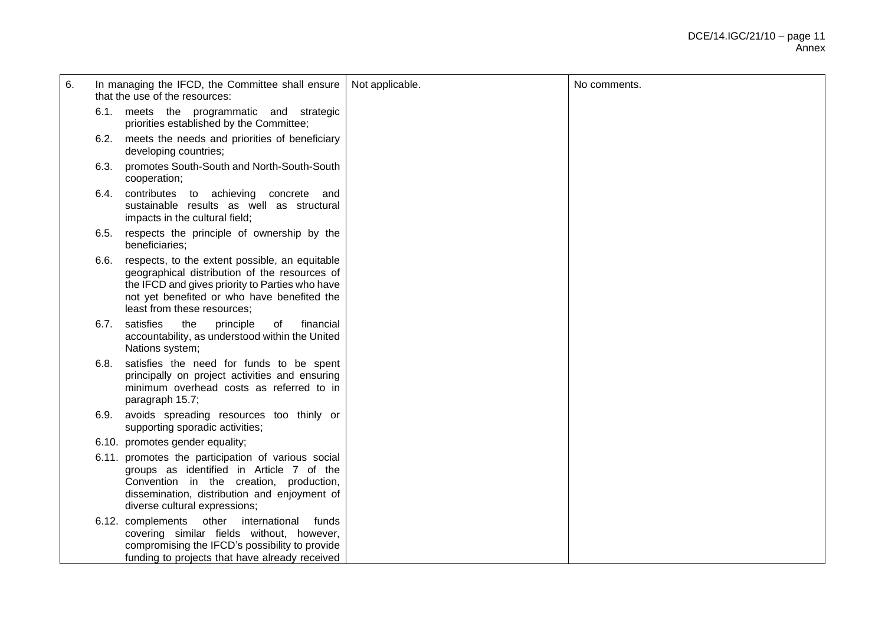| 6. |      | In managing the IFCD, the Committee shall ensure<br>that the use of the resources:                                                                                                                                               | Not applicable. | No comments. |
|----|------|----------------------------------------------------------------------------------------------------------------------------------------------------------------------------------------------------------------------------------|-----------------|--------------|
|    |      | 6.1. meets the programmatic and strategic<br>priorities established by the Committee;                                                                                                                                            |                 |              |
|    |      | 6.2. meets the needs and priorities of beneficiary<br>developing countries;                                                                                                                                                      |                 |              |
|    | 6.3. | promotes South-South and North-South-South<br>cooperation;                                                                                                                                                                       |                 |              |
|    | 6.4. | contributes to achieving concrete and<br>sustainable results as well as structural<br>impacts in the cultural field;                                                                                                             |                 |              |
|    | 6.5. | respects the principle of ownership by the<br>beneficiaries;                                                                                                                                                                     |                 |              |
|    | 6.6. | respects, to the extent possible, an equitable<br>geographical distribution of the resources of<br>the IFCD and gives priority to Parties who have<br>not yet benefited or who have benefited the<br>least from these resources; |                 |              |
|    | 6.7. | satisfies<br>the<br>financial<br>principle<br>of<br>accountability, as understood within the United<br>Nations system;                                                                                                           |                 |              |
|    | 6.8. | satisfies the need for funds to be spent<br>principally on project activities and ensuring<br>minimum overhead costs as referred to in<br>paragraph 15.7;                                                                        |                 |              |
|    |      | 6.9. avoids spreading resources too thinly or<br>supporting sporadic activities;                                                                                                                                                 |                 |              |
|    |      | 6.10. promotes gender equality;                                                                                                                                                                                                  |                 |              |
|    |      | 6.11. promotes the participation of various social<br>groups as identified in Article 7 of the<br>Convention in the creation, production,<br>dissemination, distribution and enjoyment of<br>diverse cultural expressions;       |                 |              |
|    |      | 6.12. complements other international<br>funds<br>covering similar fields without, however,<br>compromising the IFCD's possibility to provide<br>funding to projects that have already received                                  |                 |              |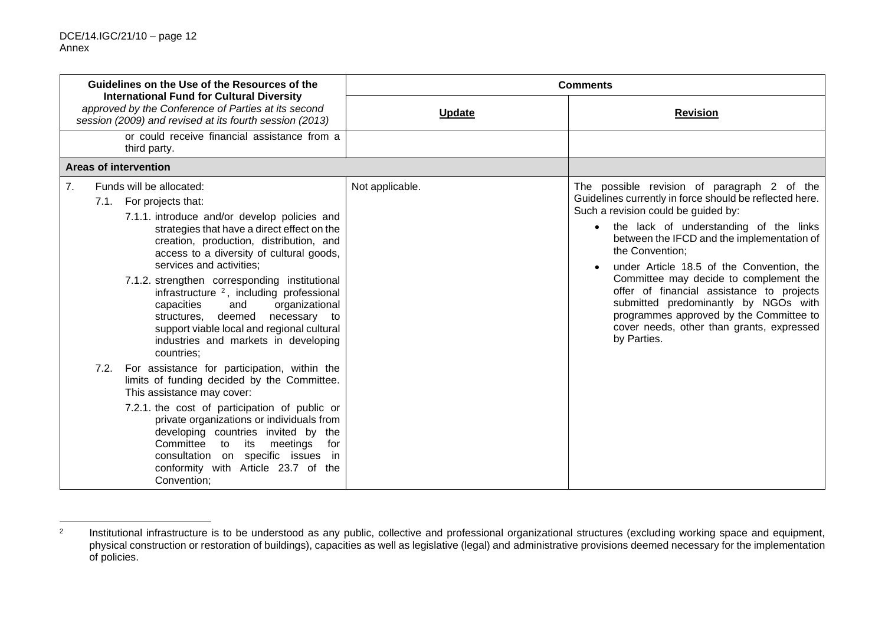| Guidelines on the Use of the Resources of the                                                                                                                                                                                                                                                                                                                                                                                                                                                                                                                                                                                                                                                                                                                                                                                                                                                                                                                                   | <b>Comments</b> |                                                                                                                                                                                                                                                                                                                                                                                                                                                                                                                                                          |
|---------------------------------------------------------------------------------------------------------------------------------------------------------------------------------------------------------------------------------------------------------------------------------------------------------------------------------------------------------------------------------------------------------------------------------------------------------------------------------------------------------------------------------------------------------------------------------------------------------------------------------------------------------------------------------------------------------------------------------------------------------------------------------------------------------------------------------------------------------------------------------------------------------------------------------------------------------------------------------|-----------------|----------------------------------------------------------------------------------------------------------------------------------------------------------------------------------------------------------------------------------------------------------------------------------------------------------------------------------------------------------------------------------------------------------------------------------------------------------------------------------------------------------------------------------------------------------|
| <b>International Fund for Cultural Diversity</b><br>approved by the Conference of Parties at its second<br>session (2009) and revised at its fourth session (2013)                                                                                                                                                                                                                                                                                                                                                                                                                                                                                                                                                                                                                                                                                                                                                                                                              | <b>Update</b>   | <b>Revision</b>                                                                                                                                                                                                                                                                                                                                                                                                                                                                                                                                          |
| or could receive financial assistance from a<br>third party.                                                                                                                                                                                                                                                                                                                                                                                                                                                                                                                                                                                                                                                                                                                                                                                                                                                                                                                    |                 |                                                                                                                                                                                                                                                                                                                                                                                                                                                                                                                                                          |
| <b>Areas of intervention</b>                                                                                                                                                                                                                                                                                                                                                                                                                                                                                                                                                                                                                                                                                                                                                                                                                                                                                                                                                    |                 |                                                                                                                                                                                                                                                                                                                                                                                                                                                                                                                                                          |
| 7.<br>Funds will be allocated:<br>7.1. For projects that:<br>7.1.1. introduce and/or develop policies and<br>strategies that have a direct effect on the<br>creation, production, distribution, and<br>access to a diversity of cultural goods,<br>services and activities;<br>7.1.2. strengthen corresponding institutional<br>infrastructure <sup>2</sup> , including professional<br>organizational<br>capacities<br>and<br>structures, deemed necessary to<br>support viable local and regional cultural<br>industries and markets in developing<br>countries:<br>For assistance for participation, within the<br>7.2.<br>limits of funding decided by the Committee.<br>This assistance may cover:<br>7.2.1. the cost of participation of public or<br>private organizations or individuals from<br>developing countries invited by the<br>Committee to its<br>meetings<br>for<br>consultation on specific issues in<br>conformity with Article 23.7 of the<br>Convention; | Not applicable. | The possible revision of paragraph 2 of the<br>Guidelines currently in force should be reflected here.<br>Such a revision could be guided by:<br>the lack of understanding of the links<br>$\bullet$<br>between the IFCD and the implementation of<br>the Convention;<br>under Article 18.5 of the Convention, the<br>Committee may decide to complement the<br>offer of financial assistance to projects<br>submitted predominantly by NGOs with<br>programmes approved by the Committee to<br>cover needs, other than grants, expressed<br>by Parties. |

<sup>2</sup> Institutional infrastructure is to be understood as any public, collective and professional organizational structures (excluding working space and equipment, physical construction or restoration of buildings), capacities as well as legislative (legal) and administrative provisions deemed necessary for the implementation of policies.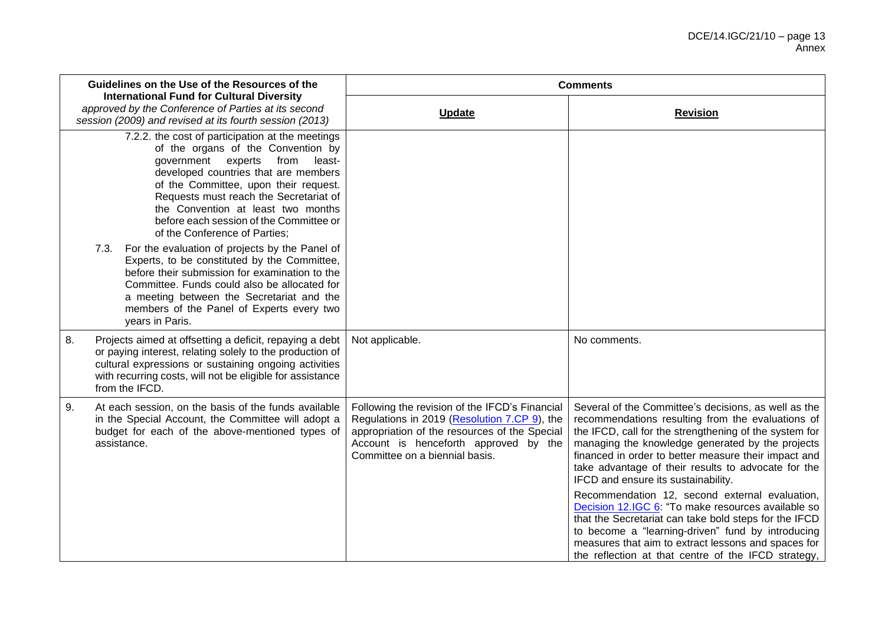|    | Guidelines on the Use of the Resources of the                                                                                                                                                                                                                                                                                                                         |                                                                                                                                                                                                                            | <b>Comments</b>                                                                                                                                                                                                                                                                                                                                                               |
|----|-----------------------------------------------------------------------------------------------------------------------------------------------------------------------------------------------------------------------------------------------------------------------------------------------------------------------------------------------------------------------|----------------------------------------------------------------------------------------------------------------------------------------------------------------------------------------------------------------------------|-------------------------------------------------------------------------------------------------------------------------------------------------------------------------------------------------------------------------------------------------------------------------------------------------------------------------------------------------------------------------------|
|    | <b>International Fund for Cultural Diversity</b><br>approved by the Conference of Parties at its second<br>session (2009) and revised at its fourth session (2013)                                                                                                                                                                                                    | <b>Update</b>                                                                                                                                                                                                              | <b>Revision</b>                                                                                                                                                                                                                                                                                                                                                               |
|    | 7.2.2. the cost of participation at the meetings<br>of the organs of the Convention by<br>government experts from least-<br>developed countries that are members<br>of the Committee, upon their request.<br>Requests must reach the Secretariat of<br>the Convention at least two months<br>before each session of the Committee or<br>of the Conference of Parties; |                                                                                                                                                                                                                            |                                                                                                                                                                                                                                                                                                                                                                               |
|    | 7.3. For the evaluation of projects by the Panel of<br>Experts, to be constituted by the Committee,<br>before their submission for examination to the<br>Committee. Funds could also be allocated for<br>a meeting between the Secretariat and the<br>members of the Panel of Experts every two<br>years in Paris.                                                    |                                                                                                                                                                                                                            |                                                                                                                                                                                                                                                                                                                                                                               |
| 8. | Projects aimed at offsetting a deficit, repaying a debt<br>or paying interest, relating solely to the production of<br>cultural expressions or sustaining ongoing activities<br>with recurring costs, will not be eligible for assistance<br>from the IFCD.                                                                                                           | Not applicable.                                                                                                                                                                                                            | No comments.                                                                                                                                                                                                                                                                                                                                                                  |
| 9. | At each session, on the basis of the funds available<br>in the Special Account, the Committee will adopt a<br>budget for each of the above-mentioned types of<br>assistance.                                                                                                                                                                                          | Following the revision of the IFCD's Financial<br>Regulations in 2019 (Resolution 7.CP 9), the<br>appropriation of the resources of the Special<br>Account is henceforth approved by the<br>Committee on a biennial basis. | Several of the Committee's decisions, as well as the<br>recommendations resulting from the evaluations of<br>the IFCD, call for the strengthening of the system for<br>managing the knowledge generated by the projects<br>financed in order to better measure their impact and<br>take advantage of their results to advocate for the<br>IFCD and ensure its sustainability. |
|    |                                                                                                                                                                                                                                                                                                                                                                       |                                                                                                                                                                                                                            | Recommendation 12, second external evaluation,<br>Decision 12.IGC 6: "To make resources available so<br>that the Secretariat can take bold steps for the IFCD<br>to become a "learning-driven" fund by introducing<br>measures that aim to extract lessons and spaces for<br>the reflection at that centre of the IFCD strategy,                                              |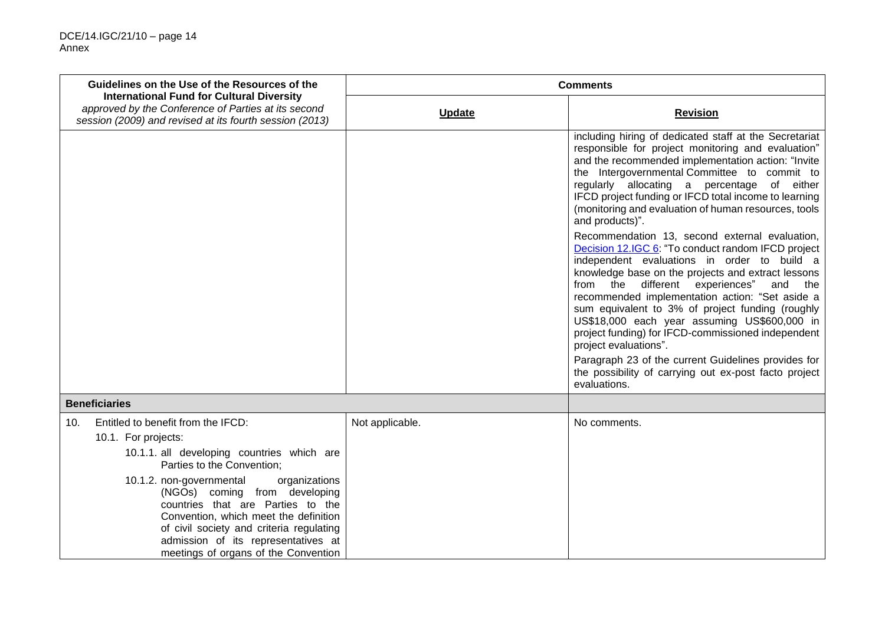| Guidelines on the Use of the Resources of the                                                                                                                                                                                                                                       | <b>Comments</b> |                                                                                                                                                                                                                                                                                                                                                                                                                                                                                                  |  |
|-------------------------------------------------------------------------------------------------------------------------------------------------------------------------------------------------------------------------------------------------------------------------------------|-----------------|--------------------------------------------------------------------------------------------------------------------------------------------------------------------------------------------------------------------------------------------------------------------------------------------------------------------------------------------------------------------------------------------------------------------------------------------------------------------------------------------------|--|
| <b>International Fund for Cultural Diversity</b><br>approved by the Conference of Parties at its second<br>session (2009) and revised at its fourth session (2013)                                                                                                                  | <b>Update</b>   | <b>Revision</b>                                                                                                                                                                                                                                                                                                                                                                                                                                                                                  |  |
|                                                                                                                                                                                                                                                                                     |                 | including hiring of dedicated staff at the Secretariat<br>responsible for project monitoring and evaluation"<br>and the recommended implementation action: "Invite<br>the Intergovernmental Committee to commit to<br>regularly allocating a percentage of either<br>IFCD project funding or IFCD total income to learning<br>(monitoring and evaluation of human resources, tools<br>and products)".                                                                                            |  |
|                                                                                                                                                                                                                                                                                     |                 | Recommendation 13, second external evaluation,<br>Decision 12.IGC 6: "To conduct random IFCD project<br>independent evaluations in order to build a<br>knowledge base on the projects and extract lessons<br>from the different experiences"<br>and<br>the<br>recommended implementation action: "Set aside a<br>sum equivalent to 3% of project funding (roughly<br>US\$18,000 each year assuming US\$600,000 in<br>project funding) for IFCD-commissioned independent<br>project evaluations". |  |
|                                                                                                                                                                                                                                                                                     |                 | Paragraph 23 of the current Guidelines provides for<br>the possibility of carrying out ex-post facto project<br>evaluations.                                                                                                                                                                                                                                                                                                                                                                     |  |
| <b>Beneficiaries</b>                                                                                                                                                                                                                                                                |                 |                                                                                                                                                                                                                                                                                                                                                                                                                                                                                                  |  |
| Entitled to benefit from the IFCD:<br>10.<br>10.1. For projects:<br>10.1.1. all developing countries which are<br>Parties to the Convention;                                                                                                                                        | Not applicable. | No comments.                                                                                                                                                                                                                                                                                                                                                                                                                                                                                     |  |
| 10.1.2. non-governmental<br>organizations<br>(NGOs) coming from developing<br>countries that are Parties to the<br>Convention, which meet the definition<br>of civil society and criteria regulating<br>admission of its representatives at<br>meetings of organs of the Convention |                 |                                                                                                                                                                                                                                                                                                                                                                                                                                                                                                  |  |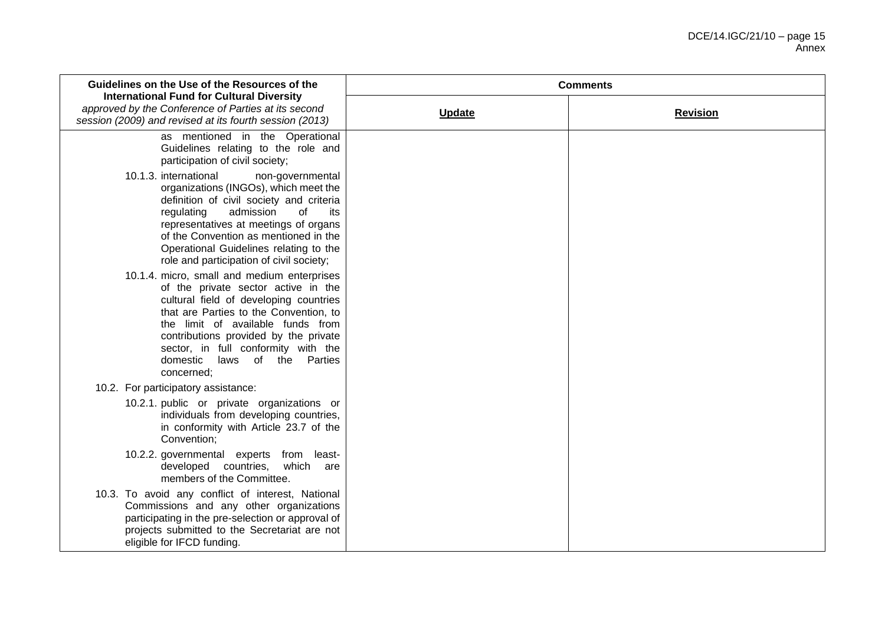| Guidelines on the Use of the Resources of the                                                                                                                                                                                                                                                                                                  |               | <b>Comments</b> |
|------------------------------------------------------------------------------------------------------------------------------------------------------------------------------------------------------------------------------------------------------------------------------------------------------------------------------------------------|---------------|-----------------|
| <b>International Fund for Cultural Diversity</b><br>approved by the Conference of Parties at its second<br>session (2009) and revised at its fourth session (2013)                                                                                                                                                                             | <b>Update</b> | <b>Revision</b> |
| as mentioned in the Operational<br>Guidelines relating to the role and<br>participation of civil society;                                                                                                                                                                                                                                      |               |                 |
| 10.1.3. international<br>non-governmental<br>organizations (INGOs), which meet the<br>definition of civil society and criteria<br>admission<br>regulating<br>of<br>its<br>representatives at meetings of organs<br>of the Convention as mentioned in the<br>Operational Guidelines relating to the<br>role and participation of civil society; |               |                 |
| 10.1.4. micro, small and medium enterprises<br>of the private sector active in the<br>cultural field of developing countries<br>that are Parties to the Convention, to<br>the limit of available funds from<br>contributions provided by the private<br>sector, in full conformity with the<br>domestic<br>laws of the Parties<br>concerned;   |               |                 |
| 10.2. For participatory assistance:                                                                                                                                                                                                                                                                                                            |               |                 |
| 10.2.1. public or private organizations or<br>individuals from developing countries,<br>in conformity with Article 23.7 of the<br>Convention;                                                                                                                                                                                                  |               |                 |
| 10.2.2. governmental experts from least-<br>developed countries,<br>which<br>are<br>members of the Committee.                                                                                                                                                                                                                                  |               |                 |
| 10.3. To avoid any conflict of interest, National<br>Commissions and any other organizations<br>participating in the pre-selection or approval of<br>projects submitted to the Secretariat are not<br>eligible for IFCD funding.                                                                                                               |               |                 |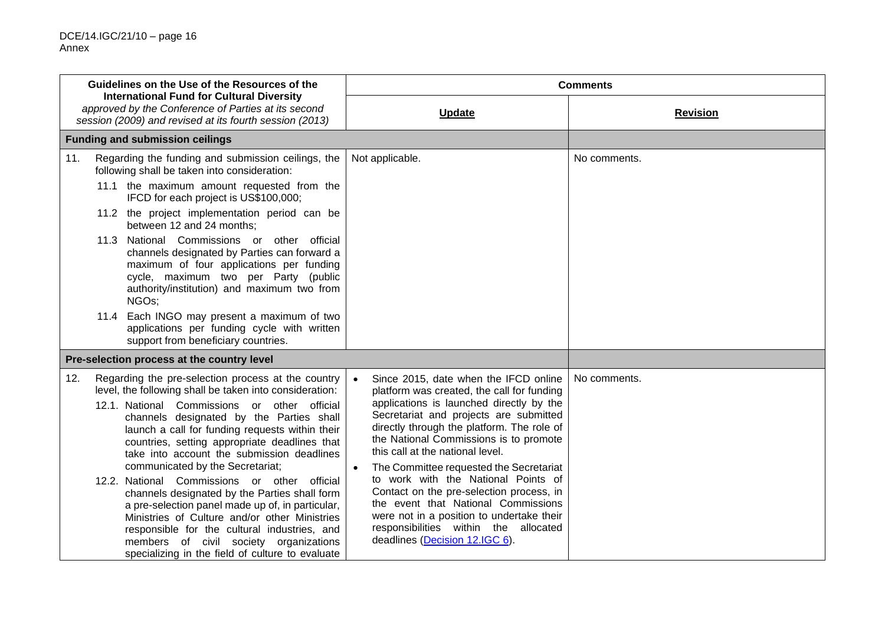| Guidelines on the Use of the Resources of the | <b>Comments</b>                                                                                                                                                                                                                                                                                                                                                                                                                                                                                                                                                                                                                                                                                                                                     |                                                                                                                                                                                                                                                                                                                                                                                                                                                                                                                                                                                                    |                 |
|-----------------------------------------------|-----------------------------------------------------------------------------------------------------------------------------------------------------------------------------------------------------------------------------------------------------------------------------------------------------------------------------------------------------------------------------------------------------------------------------------------------------------------------------------------------------------------------------------------------------------------------------------------------------------------------------------------------------------------------------------------------------------------------------------------------------|----------------------------------------------------------------------------------------------------------------------------------------------------------------------------------------------------------------------------------------------------------------------------------------------------------------------------------------------------------------------------------------------------------------------------------------------------------------------------------------------------------------------------------------------------------------------------------------------------|-----------------|
|                                               | <b>International Fund for Cultural Diversity</b><br>approved by the Conference of Parties at its second<br>session (2009) and revised at its fourth session (2013)                                                                                                                                                                                                                                                                                                                                                                                                                                                                                                                                                                                  | <b>Update</b>                                                                                                                                                                                                                                                                                                                                                                                                                                                                                                                                                                                      | <b>Revision</b> |
|                                               | <b>Funding and submission ceilings</b>                                                                                                                                                                                                                                                                                                                                                                                                                                                                                                                                                                                                                                                                                                              |                                                                                                                                                                                                                                                                                                                                                                                                                                                                                                                                                                                                    |                 |
| 11.                                           | Regarding the funding and submission ceilings, the<br>following shall be taken into consideration:<br>11.1 the maximum amount requested from the<br>IFCD for each project is US\$100,000;<br>11.2 the project implementation period can be<br>between 12 and 24 months;<br>11.3 National Commissions or other official<br>channels designated by Parties can forward a<br>maximum of four applications per funding<br>cycle, maximum two per Party (public<br>authority/institution) and maximum two from                                                                                                                                                                                                                                           | Not applicable.                                                                                                                                                                                                                                                                                                                                                                                                                                                                                                                                                                                    | No comments.    |
|                                               | NGOs;<br>11.4 Each INGO may present a maximum of two<br>applications per funding cycle with written<br>support from beneficiary countries.<br>Pre-selection process at the country level                                                                                                                                                                                                                                                                                                                                                                                                                                                                                                                                                            |                                                                                                                                                                                                                                                                                                                                                                                                                                                                                                                                                                                                    |                 |
|                                               |                                                                                                                                                                                                                                                                                                                                                                                                                                                                                                                                                                                                                                                                                                                                                     |                                                                                                                                                                                                                                                                                                                                                                                                                                                                                                                                                                                                    |                 |
| 12.                                           | Regarding the pre-selection process at the country<br>level, the following shall be taken into consideration:<br>12.1. National Commissions or other official<br>channels designated by the Parties shall<br>launch a call for funding requests within their<br>countries, setting appropriate deadlines that<br>take into account the submission deadlines<br>communicated by the Secretariat;<br>12.2. National Commissions or other official<br>channels designated by the Parties shall form<br>a pre-selection panel made up of, in particular,<br>Ministries of Culture and/or other Ministries<br>responsible for the cultural industries, and<br>members of civil society organizations<br>specializing in the field of culture to evaluate | Since 2015, date when the IFCD online<br>platform was created, the call for funding<br>applications is launched directly by the<br>Secretariat and projects are submitted<br>directly through the platform. The role of<br>the National Commissions is to promote<br>this call at the national level.<br>The Committee requested the Secretariat<br>to work with the National Points of<br>Contact on the pre-selection process, in<br>the event that National Commissions<br>were not in a position to undertake their<br>responsibilities within the allocated<br>deadlines (Decision 12.IGC 6). | No comments.    |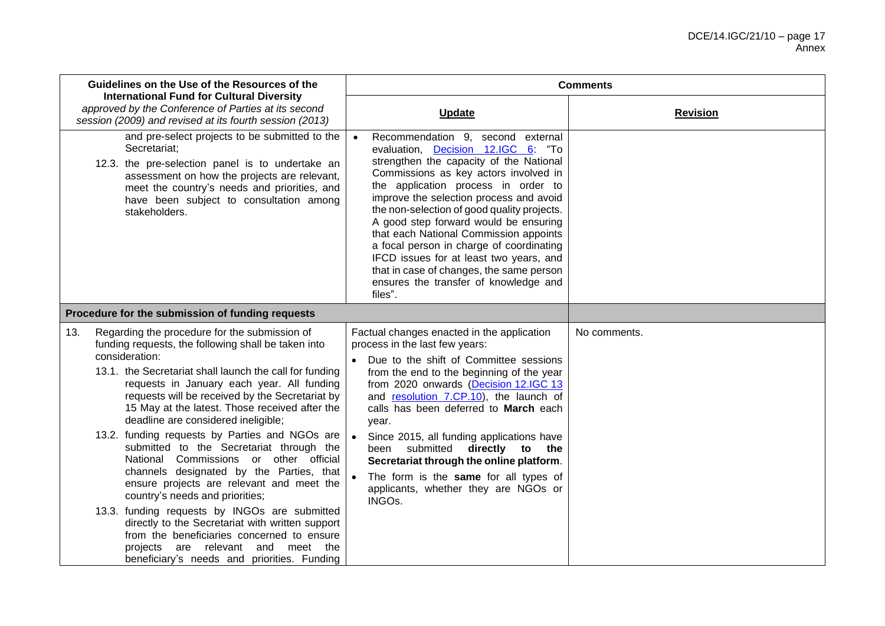|     | Guidelines on the Use of the Resources of the                                                                                                                                                                                                                                                                                                                                                                                                                                                                                                                                                                                                                                                                                                                                                                                                                                           |                                                                                                                                                                                                                                                                                                                                                                                                                                                                                                                                                                                    | <b>Comments</b> |
|-----|-----------------------------------------------------------------------------------------------------------------------------------------------------------------------------------------------------------------------------------------------------------------------------------------------------------------------------------------------------------------------------------------------------------------------------------------------------------------------------------------------------------------------------------------------------------------------------------------------------------------------------------------------------------------------------------------------------------------------------------------------------------------------------------------------------------------------------------------------------------------------------------------|------------------------------------------------------------------------------------------------------------------------------------------------------------------------------------------------------------------------------------------------------------------------------------------------------------------------------------------------------------------------------------------------------------------------------------------------------------------------------------------------------------------------------------------------------------------------------------|-----------------|
|     | <b>International Fund for Cultural Diversity</b><br>approved by the Conference of Parties at its second<br>session (2009) and revised at its fourth session (2013)                                                                                                                                                                                                                                                                                                                                                                                                                                                                                                                                                                                                                                                                                                                      | <b>Update</b>                                                                                                                                                                                                                                                                                                                                                                                                                                                                                                                                                                      | <b>Revision</b> |
|     | and pre-select projects to be submitted to the<br>Secretariat;<br>12.3. the pre-selection panel is to undertake an<br>assessment on how the projects are relevant,<br>meet the country's needs and priorities, and<br>have been subject to consultation among<br>stakeholders.                                                                                                                                                                                                                                                                                                                                                                                                                                                                                                                                                                                                          | Recommendation 9, second external<br>$\bullet$<br>evaluation, Decision 12.IGC 6 "To<br>strengthen the capacity of the National<br>Commissions as key actors involved in<br>the application process in order to<br>improve the selection process and avoid<br>the non-selection of good quality projects.<br>A good step forward would be ensuring<br>that each National Commission appoints<br>a focal person in charge of coordinating<br>IFCD issues for at least two years, and<br>that in case of changes, the same person<br>ensures the transfer of knowledge and<br>files". |                 |
|     | Procedure for the submission of funding requests                                                                                                                                                                                                                                                                                                                                                                                                                                                                                                                                                                                                                                                                                                                                                                                                                                        |                                                                                                                                                                                                                                                                                                                                                                                                                                                                                                                                                                                    |                 |
| 13. | Regarding the procedure for the submission of<br>funding requests, the following shall be taken into<br>consideration:<br>13.1. the Secretariat shall launch the call for funding<br>requests in January each year. All funding<br>requests will be received by the Secretariat by<br>15 May at the latest. Those received after the<br>deadline are considered ineligible;<br>13.2. funding requests by Parties and NGOs are<br>submitted to the Secretariat through the<br>National Commissions or other official<br>channels designated by the Parties, that<br>ensure projects are relevant and meet the<br>country's needs and priorities;<br>13.3. funding requests by INGOs are submitted<br>directly to the Secretariat with written support<br>from the beneficiaries concerned to ensure<br>projects are relevant and meet the<br>beneficiary's needs and priorities. Funding | Factual changes enacted in the application<br>process in the last few years:<br>Due to the shift of Committee sessions<br>$\bullet$<br>from the end to the beginning of the year<br>from 2020 onwards (Decision 12.IGC 13<br>and resolution 7.CP.10), the launch of<br>calls has been deferred to March each<br>year.<br>$\bullet$<br>Since 2015, all funding applications have<br>been submitted directly to the<br>Secretariat through the online platform.<br>The form is the same for all types of<br>applicants, whether they are NGOs or<br>INGO <sub>s</sub> .              | No comments.    |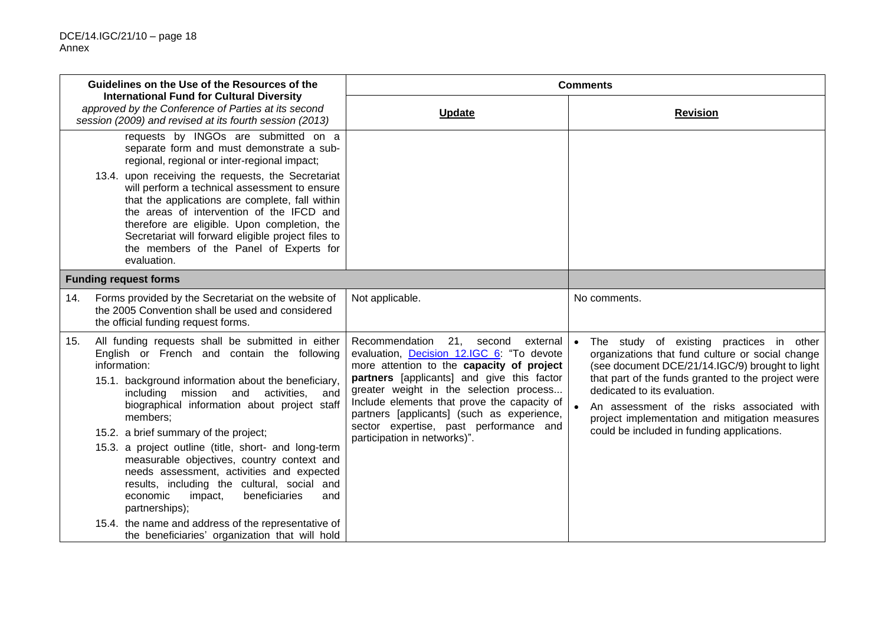| Guidelines on the Use of the Resources of the                                                                                                                                                                                                                                                                                                                                                                                                                                                                                                                                                         | <b>Comments</b>                                                                                                                                                                                                                                                                                                                                                                                 |                                                                                                                                                                                                                                                                                                                                                                                                  |
|-------------------------------------------------------------------------------------------------------------------------------------------------------------------------------------------------------------------------------------------------------------------------------------------------------------------------------------------------------------------------------------------------------------------------------------------------------------------------------------------------------------------------------------------------------------------------------------------------------|-------------------------------------------------------------------------------------------------------------------------------------------------------------------------------------------------------------------------------------------------------------------------------------------------------------------------------------------------------------------------------------------------|--------------------------------------------------------------------------------------------------------------------------------------------------------------------------------------------------------------------------------------------------------------------------------------------------------------------------------------------------------------------------------------------------|
| <b>International Fund for Cultural Diversity</b><br>approved by the Conference of Parties at its second<br>session (2009) and revised at its fourth session (2013)                                                                                                                                                                                                                                                                                                                                                                                                                                    | <b>Update</b>                                                                                                                                                                                                                                                                                                                                                                                   | <b>Revision</b>                                                                                                                                                                                                                                                                                                                                                                                  |
| requests by INGOs are submitted on a<br>separate form and must demonstrate a sub-<br>regional, regional or inter-regional impact;<br>13.4. upon receiving the requests, the Secretariat<br>will perform a technical assessment to ensure<br>that the applications are complete, fall within<br>the areas of intervention of the IFCD and<br>therefore are eligible. Upon completion, the<br>Secretariat will forward eligible project files to<br>the members of the Panel of Experts for<br>evaluation.                                                                                              |                                                                                                                                                                                                                                                                                                                                                                                                 |                                                                                                                                                                                                                                                                                                                                                                                                  |
| <b>Funding request forms</b>                                                                                                                                                                                                                                                                                                                                                                                                                                                                                                                                                                          |                                                                                                                                                                                                                                                                                                                                                                                                 |                                                                                                                                                                                                                                                                                                                                                                                                  |
| Forms provided by the Secretariat on the website of<br>14.<br>the 2005 Convention shall be used and considered<br>the official funding request forms.                                                                                                                                                                                                                                                                                                                                                                                                                                                 | Not applicable.                                                                                                                                                                                                                                                                                                                                                                                 | No comments.                                                                                                                                                                                                                                                                                                                                                                                     |
| 15.<br>All funding requests shall be submitted in either<br>English or French and contain the following<br>information:<br>15.1. background information about the beneficiary,<br>including mission and<br>activities,<br>and<br>biographical information about project staff<br>members;<br>15.2. a brief summary of the project;<br>15.3. a project outline (title, short- and long-term<br>measurable objectives, country context and<br>needs assessment, activities and expected<br>results, including the cultural, social and<br>economic<br>beneficiaries<br>impact,<br>and<br>partnerships); | Recommendation 21, second<br>external<br>evaluation, Decision 12.IGC 6: "To devote<br>more attention to the capacity of project<br>partners [applicants] and give this factor<br>greater weight in the selection process<br>Include elements that prove the capacity of<br>partners [applicants] (such as experience,<br>sector expertise, past performance and<br>participation in networks)". | The study of existing practices in other<br>$\bullet$<br>organizations that fund culture or social change<br>(see document DCE/21/14.IGC/9) brought to light<br>that part of the funds granted to the project were<br>dedicated to its evaluation.<br>An assessment of the risks associated with<br>project implementation and mitigation measures<br>could be included in funding applications. |
| 15.4. the name and address of the representative of<br>the beneficiaries' organization that will hold                                                                                                                                                                                                                                                                                                                                                                                                                                                                                                 |                                                                                                                                                                                                                                                                                                                                                                                                 |                                                                                                                                                                                                                                                                                                                                                                                                  |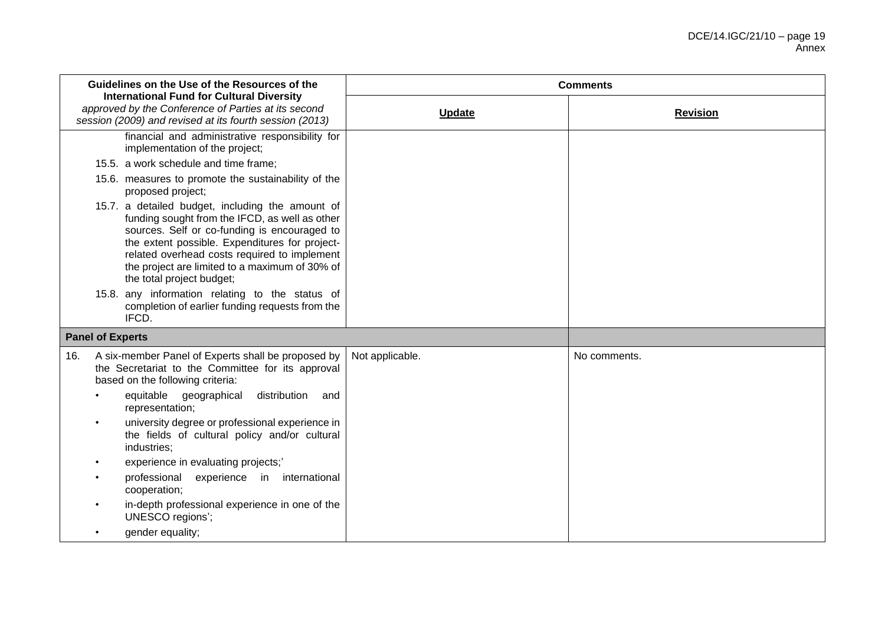| Guidelines on the Use of the Resources of the                                                                                                                                                                                                                                                                                       |                 | <b>Comments</b> |  |
|-------------------------------------------------------------------------------------------------------------------------------------------------------------------------------------------------------------------------------------------------------------------------------------------------------------------------------------|-----------------|-----------------|--|
| <b>International Fund for Cultural Diversity</b><br>approved by the Conference of Parties at its second<br>session (2009) and revised at its fourth session (2013)                                                                                                                                                                  | <b>Update</b>   | <b>Revision</b> |  |
| financial and administrative responsibility for<br>implementation of the project;                                                                                                                                                                                                                                                   |                 |                 |  |
| 15.5. a work schedule and time frame;                                                                                                                                                                                                                                                                                               |                 |                 |  |
| 15.6. measures to promote the sustainability of the<br>proposed project;                                                                                                                                                                                                                                                            |                 |                 |  |
| 15.7. a detailed budget, including the amount of<br>funding sought from the IFCD, as well as other<br>sources. Self or co-funding is encouraged to<br>the extent possible. Expenditures for project-<br>related overhead costs required to implement<br>the project are limited to a maximum of 30% of<br>the total project budget; |                 |                 |  |
| 15.8. any information relating to the status of<br>completion of earlier funding requests from the<br>IFCD.                                                                                                                                                                                                                         |                 |                 |  |
| <b>Panel of Experts</b>                                                                                                                                                                                                                                                                                                             |                 |                 |  |
| A six-member Panel of Experts shall be proposed by<br>16.<br>the Secretariat to the Committee for its approval<br>based on the following criteria:<br>equitable geographical<br>distribution<br>and<br>representation;                                                                                                              | Not applicable. | No comments.    |  |
| university degree or professional experience in<br>the fields of cultural policy and/or cultural<br>industries;                                                                                                                                                                                                                     |                 |                 |  |
| experience in evaluating projects;'                                                                                                                                                                                                                                                                                                 |                 |                 |  |
| experience in international<br>professional<br>cooperation;                                                                                                                                                                                                                                                                         |                 |                 |  |
| in-depth professional experience in one of the<br>UNESCO regions';                                                                                                                                                                                                                                                                  |                 |                 |  |
| gender equality;                                                                                                                                                                                                                                                                                                                    |                 |                 |  |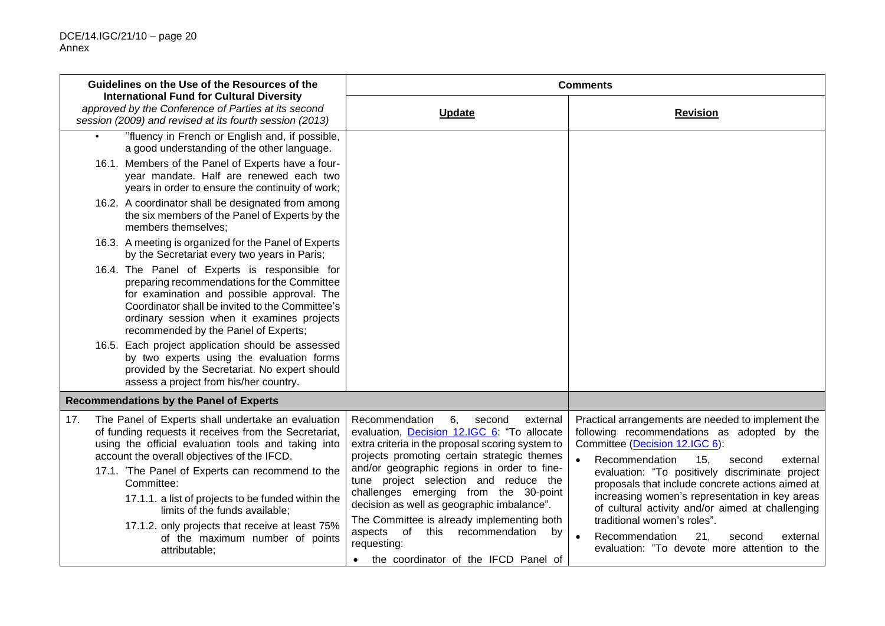| Guidelines on the Use of the Resources of the                                                                                                                                                                                                                                                                                                                                                                                                                                             |                                                                                                                                                                                                                                                                                                                                                                                                                                                                                                                             | <b>Comments</b>                                                                                                                                                                                                                                                                                                                                                                                                                                                                                                                                         |
|-------------------------------------------------------------------------------------------------------------------------------------------------------------------------------------------------------------------------------------------------------------------------------------------------------------------------------------------------------------------------------------------------------------------------------------------------------------------------------------------|-----------------------------------------------------------------------------------------------------------------------------------------------------------------------------------------------------------------------------------------------------------------------------------------------------------------------------------------------------------------------------------------------------------------------------------------------------------------------------------------------------------------------------|---------------------------------------------------------------------------------------------------------------------------------------------------------------------------------------------------------------------------------------------------------------------------------------------------------------------------------------------------------------------------------------------------------------------------------------------------------------------------------------------------------------------------------------------------------|
| <b>International Fund for Cultural Diversity</b><br>approved by the Conference of Parties at its second<br>session (2009) and revised at its fourth session (2013)                                                                                                                                                                                                                                                                                                                        | <b>Update</b>                                                                                                                                                                                                                                                                                                                                                                                                                                                                                                               | <b>Revision</b>                                                                                                                                                                                                                                                                                                                                                                                                                                                                                                                                         |
| "fluency in French or English and, if possible,<br>a good understanding of the other language.                                                                                                                                                                                                                                                                                                                                                                                            |                                                                                                                                                                                                                                                                                                                                                                                                                                                                                                                             |                                                                                                                                                                                                                                                                                                                                                                                                                                                                                                                                                         |
| 16.1. Members of the Panel of Experts have a four-<br>year mandate. Half are renewed each two<br>years in order to ensure the continuity of work;                                                                                                                                                                                                                                                                                                                                         |                                                                                                                                                                                                                                                                                                                                                                                                                                                                                                                             |                                                                                                                                                                                                                                                                                                                                                                                                                                                                                                                                                         |
| 16.2. A coordinator shall be designated from among<br>the six members of the Panel of Experts by the<br>members themselves;                                                                                                                                                                                                                                                                                                                                                               |                                                                                                                                                                                                                                                                                                                                                                                                                                                                                                                             |                                                                                                                                                                                                                                                                                                                                                                                                                                                                                                                                                         |
| 16.3. A meeting is organized for the Panel of Experts<br>by the Secretariat every two years in Paris;                                                                                                                                                                                                                                                                                                                                                                                     |                                                                                                                                                                                                                                                                                                                                                                                                                                                                                                                             |                                                                                                                                                                                                                                                                                                                                                                                                                                                                                                                                                         |
| 16.4. The Panel of Experts is responsible for<br>preparing recommendations for the Committee<br>for examination and possible approval. The<br>Coordinator shall be invited to the Committee's<br>ordinary session when it examines projects<br>recommended by the Panel of Experts;<br>16.5. Each project application should be assessed<br>by two experts using the evaluation forms<br>provided by the Secretariat. No expert should<br>assess a project from his/her country.          |                                                                                                                                                                                                                                                                                                                                                                                                                                                                                                                             |                                                                                                                                                                                                                                                                                                                                                                                                                                                                                                                                                         |
| <b>Recommendations by the Panel of Experts</b>                                                                                                                                                                                                                                                                                                                                                                                                                                            |                                                                                                                                                                                                                                                                                                                                                                                                                                                                                                                             |                                                                                                                                                                                                                                                                                                                                                                                                                                                                                                                                                         |
| The Panel of Experts shall undertake an evaluation<br>17.<br>of funding requests it receives from the Secretariat,<br>using the official evaluation tools and taking into<br>account the overall objectives of the IFCD.<br>17.1. 'The Panel of Experts can recommend to the<br>Committee:<br>17.1.1. a list of projects to be funded within the<br>limits of the funds available;<br>17.1.2. only projects that receive at least 75%<br>of the maximum number of points<br>attributable; | 6,<br>Recommendation<br>second<br>external<br>evaluation, Decision 12.IGC 6. "To allocate<br>extra criteria in the proposal scoring system to<br>projects promoting certain strategic themes<br>and/or geographic regions in order to fine-<br>tune project selection and reduce the<br>challenges emerging from the 30-point<br>decision as well as geographic imbalance".<br>The Committee is already implementing both<br>this recommendation<br>aspects of<br>by<br>requesting:<br>the coordinator of the IFCD Panel of | Practical arrangements are needed to implement the<br>following recommendations as adopted by the<br>Committee (Decision 12.IGC 6):<br>15,<br>Recommendation<br>$\bullet$<br>second<br>external<br>evaluation: "To positively discriminate project<br>proposals that include concrete actions aimed at<br>increasing women's representation in key areas<br>of cultural activity and/or aimed at challenging<br>traditional women's roles".<br>Recommendation<br>21,<br>second<br>external<br>$\bullet$<br>evaluation: "To devote more attention to the |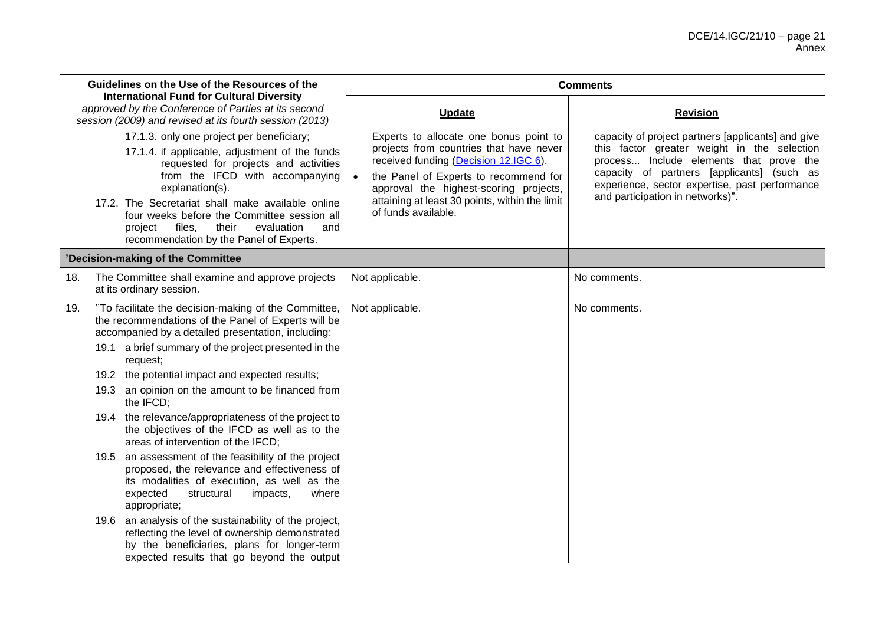| Guidelines on the Use of the Resources of the<br><b>International Fund for Cultural Diversity</b><br>approved by the Conference of Parties at its second<br>session (2009) and revised at its fourth session (2013) |                                                                                                                                                                                                                                                                                                                                                                                                                                                                                                                                                                                                                                                                                                                                | <b>Comments</b>                                                                                                                                                                                                                                                                        |                                                                                                                                                                                                                                                                                  |
|---------------------------------------------------------------------------------------------------------------------------------------------------------------------------------------------------------------------|--------------------------------------------------------------------------------------------------------------------------------------------------------------------------------------------------------------------------------------------------------------------------------------------------------------------------------------------------------------------------------------------------------------------------------------------------------------------------------------------------------------------------------------------------------------------------------------------------------------------------------------------------------------------------------------------------------------------------------|----------------------------------------------------------------------------------------------------------------------------------------------------------------------------------------------------------------------------------------------------------------------------------------|----------------------------------------------------------------------------------------------------------------------------------------------------------------------------------------------------------------------------------------------------------------------------------|
|                                                                                                                                                                                                                     |                                                                                                                                                                                                                                                                                                                                                                                                                                                                                                                                                                                                                                                                                                                                | <b>Update</b>                                                                                                                                                                                                                                                                          | <b>Revision</b>                                                                                                                                                                                                                                                                  |
|                                                                                                                                                                                                                     | 17.1.3. only one project per beneficiary;<br>17.1.4. if applicable, adjustment of the funds<br>requested for projects and activities<br>from the IFCD with accompanying<br>explanation(s).<br>17.2. The Secretariat shall make available online<br>four weeks before the Committee session all<br>files,<br>their<br>evaluation<br>project<br>and<br>recommendation by the Panel of Experts.                                                                                                                                                                                                                                                                                                                                   | Experts to allocate one bonus point to<br>projects from countries that have never<br>received funding (Decision 12.IGC 6).<br>the Panel of Experts to recommend for<br>approval the highest-scoring projects,<br>attaining at least 30 points, within the limit<br>of funds available. | capacity of project partners [applicants] and give<br>this factor greater weight in the selection<br>process Include elements that prove the<br>capacity of partners [applicants] (such as<br>experience, sector expertise, past performance<br>and participation in networks)". |
|                                                                                                                                                                                                                     | 'Decision-making of the Committee                                                                                                                                                                                                                                                                                                                                                                                                                                                                                                                                                                                                                                                                                              |                                                                                                                                                                                                                                                                                        |                                                                                                                                                                                                                                                                                  |
| 18.                                                                                                                                                                                                                 | The Committee shall examine and approve projects<br>at its ordinary session.                                                                                                                                                                                                                                                                                                                                                                                                                                                                                                                                                                                                                                                   | Not applicable.                                                                                                                                                                                                                                                                        | No comments.                                                                                                                                                                                                                                                                     |
| 19.                                                                                                                                                                                                                 | "To facilitate the decision-making of the Committee,<br>the recommendations of the Panel of Experts will be<br>accompanied by a detailed presentation, including:<br>19.1 a brief summary of the project presented in the<br>request;<br>19.2 the potential impact and expected results;<br>19.3 an opinion on the amount to be financed from<br>the IFCD;<br>19.4 the relevance/appropriateness of the project to<br>the objectives of the IFCD as well as to the<br>areas of intervention of the IFCD;<br>19.5 an assessment of the feasibility of the project<br>proposed, the relevance and effectiveness of<br>its modalities of execution, as well as the<br>expected<br>structural<br>impacts,<br>where<br>appropriate; | Not applicable.                                                                                                                                                                                                                                                                        | No comments.                                                                                                                                                                                                                                                                     |
|                                                                                                                                                                                                                     | 19.6 an analysis of the sustainability of the project,<br>reflecting the level of ownership demonstrated<br>by the beneficiaries, plans for longer-term<br>expected results that go beyond the output                                                                                                                                                                                                                                                                                                                                                                                                                                                                                                                          |                                                                                                                                                                                                                                                                                        |                                                                                                                                                                                                                                                                                  |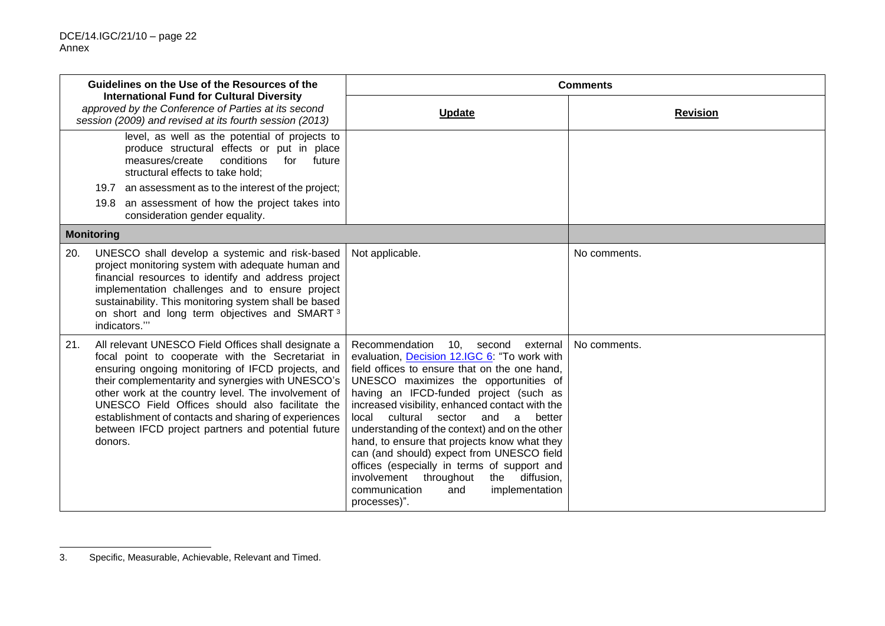| Guidelines on the Use of the Resources of the<br><b>International Fund for Cultural Diversity</b><br>approved by the Conference of Parties at its second<br>session (2009) and revised at its fourth session (2013) |                                                                                                                                                                                                                                                                                                                                                                                                                                                      | <b>Comments</b>                                                                                                                                                                                                                                                                                                                                                                                                                                                                                                                                                                                                                   |                 |
|---------------------------------------------------------------------------------------------------------------------------------------------------------------------------------------------------------------------|------------------------------------------------------------------------------------------------------------------------------------------------------------------------------------------------------------------------------------------------------------------------------------------------------------------------------------------------------------------------------------------------------------------------------------------------------|-----------------------------------------------------------------------------------------------------------------------------------------------------------------------------------------------------------------------------------------------------------------------------------------------------------------------------------------------------------------------------------------------------------------------------------------------------------------------------------------------------------------------------------------------------------------------------------------------------------------------------------|-----------------|
|                                                                                                                                                                                                                     |                                                                                                                                                                                                                                                                                                                                                                                                                                                      | <b>Update</b>                                                                                                                                                                                                                                                                                                                                                                                                                                                                                                                                                                                                                     | <b>Revision</b> |
|                                                                                                                                                                                                                     | level, as well as the potential of projects to<br>produce structural effects or put in place<br>measures/create<br>conditions<br>for<br>future<br>structural effects to take hold;                                                                                                                                                                                                                                                                   |                                                                                                                                                                                                                                                                                                                                                                                                                                                                                                                                                                                                                                   |                 |
|                                                                                                                                                                                                                     | 19.7 an assessment as to the interest of the project;<br>19.8 an assessment of how the project takes into<br>consideration gender equality.                                                                                                                                                                                                                                                                                                          |                                                                                                                                                                                                                                                                                                                                                                                                                                                                                                                                                                                                                                   |                 |
| <b>Monitoring</b>                                                                                                                                                                                                   |                                                                                                                                                                                                                                                                                                                                                                                                                                                      |                                                                                                                                                                                                                                                                                                                                                                                                                                                                                                                                                                                                                                   |                 |
| 20.                                                                                                                                                                                                                 | UNESCO shall develop a systemic and risk-based<br>project monitoring system with adequate human and<br>financial resources to identify and address project<br>implementation challenges and to ensure project<br>sustainability. This monitoring system shall be based<br>on short and long term objectives and SMART <sup>3</sup><br>indicators."                                                                                                   | Not applicable.                                                                                                                                                                                                                                                                                                                                                                                                                                                                                                                                                                                                                   | No comments.    |
| 21.                                                                                                                                                                                                                 | All relevant UNESCO Field Offices shall designate a<br>focal point to cooperate with the Secretariat in<br>ensuring ongoing monitoring of IFCD projects, and<br>their complementarity and synergies with UNESCO's<br>other work at the country level. The involvement of<br>UNESCO Field Offices should also facilitate the<br>establishment of contacts and sharing of experiences<br>between IFCD project partners and potential future<br>donors. | Recommendation<br>10, second<br>external<br>evaluation, Decision 12.IGC 6 "To work with<br>field offices to ensure that on the one hand,<br>UNESCO maximizes the opportunities of<br>having an IFCD-funded project (such as<br>increased visibility, enhanced contact with the<br>cultural sector and<br>local<br>a<br>better<br>understanding of the context) and on the other<br>hand, to ensure that projects know what they<br>can (and should) expect from UNESCO field<br>offices (especially in terms of support and<br>involvement throughout<br>the diffusion,<br>implementation<br>communication<br>and<br>processes)". | No comments.    |

<sup>3.</sup> Specific, Measurable, Achievable, Relevant and Timed.